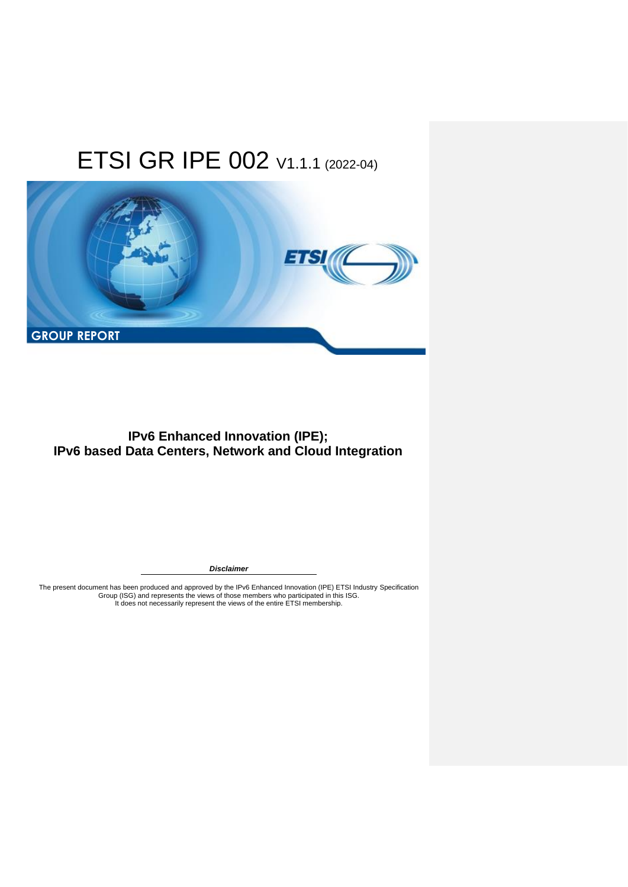

### **IPv6 Enhanced Innovation (IPE); IPv6 based Data Centers, Network and Cloud Integration**

*Disclaimer*

The present document has been produced and approved by the IPv6 Enhanced Innovation (IPE) ETSI Industry Specification<br>Group (ISG) and represents the views of those members who participated in this ISG.<br>It does not necessar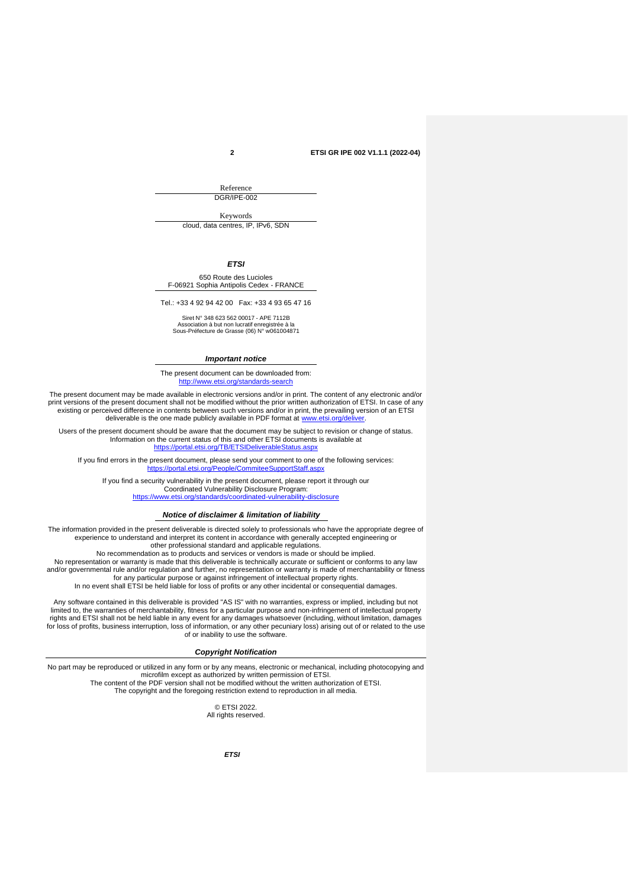Reference DGR/IPE-002

Keywords

cloud, data centres, IP, IPv6, SDN

*ETSI*

650 Route des Lucioles F-06921 Sophia Antipolis Cedex - FRANCE

Tel.: +33 4 92 94 42 00 Fax: +33 4 93 65 47 16

Siret N° 348 623 562 00017 - APE 7112B Association à but non lucratif enregistrée à la Sous-Préfecture de Grasse (06) N° w061004871

#### *Important notice*

The present document can be downloaded from: <http://www.etsi.org/standards-search>

The present document may be made available in electronic versions and/or in print. The content of any electronic and/or print versions of the present document shall not be modified without the prior written authorization of ETSI. In case of any existing or perceived difference in contents between such versions and/or in print, the prevailing version of an ETSI deliverable is the one made publicly available in PDF format at [www.etsi.org/deliver.](http://www.etsi.org/deliver)

Users of the present document should be aware that the document may be subject to revision or change of status. Information on the current status of this and other ETSI documents is available at <https://portal.etsi.org/TB/ETSIDeliverableStatus.aspx>

If you find errors in the present document, please send your comment to one of the following services: **httal.etsi.org/People/Come** 

If you find a security vulnerability in the present document, please report it through our Coordinated Vulnerability Disclosure Program:

<https://www.etsi.org/standards/coordinated-vulnerability-disclosure>

#### *Notice of disclaimer & limitation of liability*

The information provided in the present deliverable is directed solely to professionals who have the appropriate degree of experience to understand and interpret its content in accordance with generally accepted engineering or other professional standard and applicable regulations.

No recommendation as to products and services or vendors is made or should be implied.

No representation or warranty is made that this deliverable is technically accurate or sufficient or conforms to any law and/or governmental rule and/or regulation and further, no representation or warranty is made of merchantability or fitness for any particular purpose or against infringement of intellectual property rights. In no event shall ETSI be held liable for loss of profits or any other incidental or consequential damages.

Any software contained in this deliverable is provided "AS IS" with no warranties, express or implied, including but not limited to, the warranties of merchantability, fitness for a particular purpose and non-infringement of intellectual property<br>rights and ETSI shall not be held liable in any event for any damages whatsoever (including, wit for loss of profits, business interruption, loss of information, or any other pecuniary loss) arising out of or related to the use of or inability to use the software.

#### *Copyright Notification*

No part may be reproduced or utilized in any form or by any means, electronic or mechanical, including photocopying and microfilm except as authorized by written permission of ETSI. The content of the PDF version shall not be modified without the written authorization of ETSI. The copyright and the foregoing restriction extend to reproduction in all media.

> © ETSI 2022. All rights reserved.

> > *ETSI*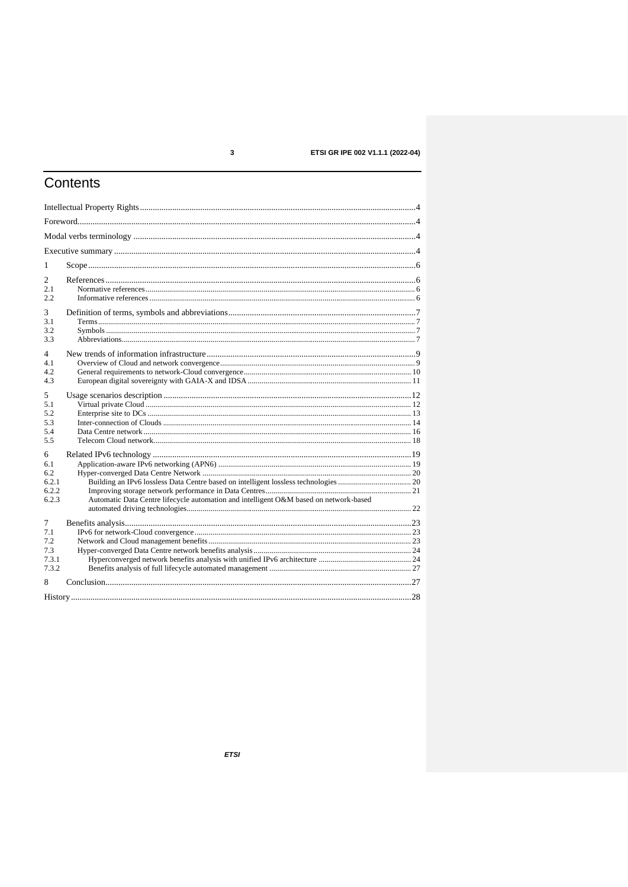$\mathbf{3}$ 

### ETSI GR IPE 002 V1.1.1 (2022-04)

# Contents

| 1              |                                                                                       |  |
|----------------|---------------------------------------------------------------------------------------|--|
|                |                                                                                       |  |
| 2<br>2.1       |                                                                                       |  |
| 2.2            |                                                                                       |  |
| 3              |                                                                                       |  |
| 3.1            |                                                                                       |  |
| 3.2            |                                                                                       |  |
| 3.3            |                                                                                       |  |
| 4              |                                                                                       |  |
| 4.1            |                                                                                       |  |
| 4.2            |                                                                                       |  |
| 4.3            |                                                                                       |  |
| 5              |                                                                                       |  |
| 5.1            |                                                                                       |  |
| 5.2<br>5.3     |                                                                                       |  |
| 5.4            |                                                                                       |  |
| 5.5            |                                                                                       |  |
| 6              |                                                                                       |  |
| 6.1            |                                                                                       |  |
| 6.2            |                                                                                       |  |
| 6.2.1<br>6.2.2 |                                                                                       |  |
| 6.2.3          | Automatic Data Centre lifecycle automation and intelligent O&M based on network-based |  |
|                |                                                                                       |  |
| $\tau$         |                                                                                       |  |
| 7.1            |                                                                                       |  |
| 7.2            |                                                                                       |  |
| 7.3<br>7.3.1   |                                                                                       |  |
| 7.3.2          |                                                                                       |  |
| 8              |                                                                                       |  |
|                |                                                                                       |  |
|                |                                                                                       |  |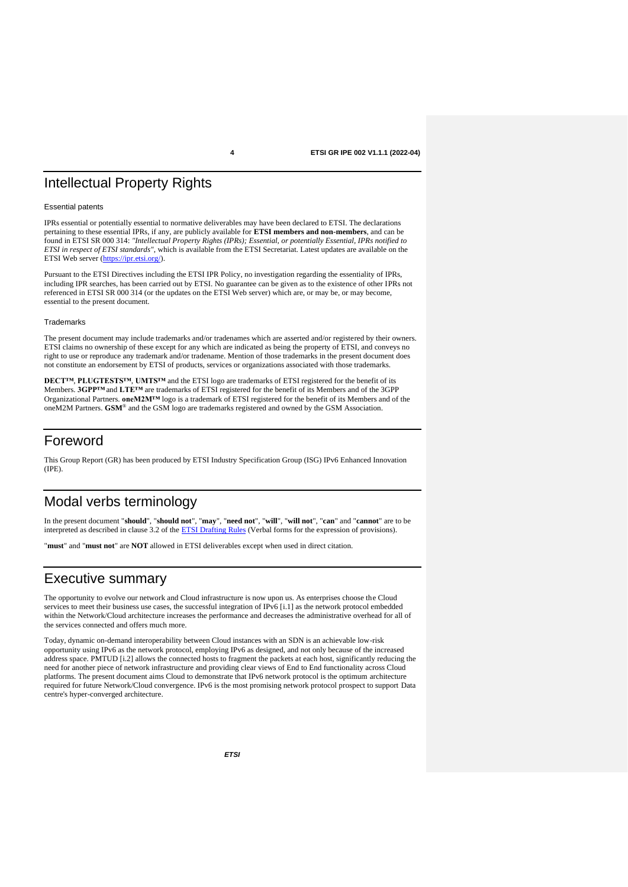## Intellectual Property Rights

#### Essential patents

IPRs essential or potentially essential to normative deliverables may have been declared to ETSI. The declarations pertaining to these essential IPRs, if any, are publicly available for **ETSI members and non-members**, and can be found in ETSI SR 000 314: *"Intellectual Property Rights (IPRs); Essential, or potentially Essential, IPRs notified to ETSI in respect of ETSI standards"*, which is available from the ETSI Secretariat. Latest updates are available on the ETSI Web server [\(https://ipr.etsi.org/\)](https://ipr.etsi.org/).

Pursuant to the ETSI Directives including the ETSI IPR Policy, no investigation regarding the essentiality of IPRs, including IPR searches, has been carried out by ETSI. No guarantee can be given as to the existence of other IPRs not referenced in ETSI SR 000 314 (or the updates on the ETSI Web server) which are, or may be, or may become, essential to the present document.

#### **Trademarks**

The present document may include trademarks and/or tradenames which are asserted and/or registered by their owners. ETSI claims no ownership of these except for any which are indicated as being the property of ETSI, and conveys no right to use or reproduce any trademark and/or tradename. Mention of those trademarks in the present document does not constitute an endorsement by ETSI of products, services or organizations associated with those trademarks.

**DECT™**, **PLUGTESTS™**, **UMTS™** and the ETSI logo are trademarks of ETSI registered for the benefit of its Members. **3GPP™** and **LTE™** are trademarks of ETSI registered for the benefit of its Members and of the 3GPP Organizational Partners. **oneM2M™** logo is a trademark of ETSI registered for the benefit of its Members and of the oneM2M Partners. **GSM**® and the GSM logo are trademarks registered and owned by the GSM Association.

### Foreword

This Group Report (GR) has been produced by ETSI Industry Specification Group (ISG) IPv6 Enhanced Innovation (IPE).

### Modal verbs terminology

In the present document "**should**", "**should not**", "**may**", "**need not**", "**will**", "**will not**", "**can**" and "**cannot**" are to be interpreted as described in clause 3.2 of th[e ETSI Drafting Rules](https://portal.etsi.org/Services/editHelp!/Howtostart/ETSIDraftingRules.aspx) (Verbal forms for the expression of provisions).

"**must**" and "**must not**" are **NOT** allowed in ETSI deliverables except when used in direct citation.

### Executive summary

The opportunity to evolve our network and Cloud infrastructure is now upon us. As enterprises choose the Cloud services to meet their business use cases, the successful integration of IPv6 [\[i.1\]](#page-5-0) as the network protocol embedded within the Network/Cloud architecture increases the performance and decreases the administrative overhead for all of the services connected and offers much more.

Today, dynamic on-demand interoperability between Cloud instances with an SDN is an achievable low-risk opportunity using IPv6 as the network protocol, employing IPv6 as designed, and not only because of the increased address space. PMTUD [\[i.2\]](#page-5-1) allows the connected hosts to fragment the packets at each host, significantly reducing the need for another piece of network infrastructure and providing clear views of End to End functionality across Cloud platforms. The present document aims Cloud to demonstrate that IPv6 network protocol is the optimum architecture required for future Network/Cloud convergence. IPv6 is the most promising network protocol prospect to support Data centre's hyper-converged architecture.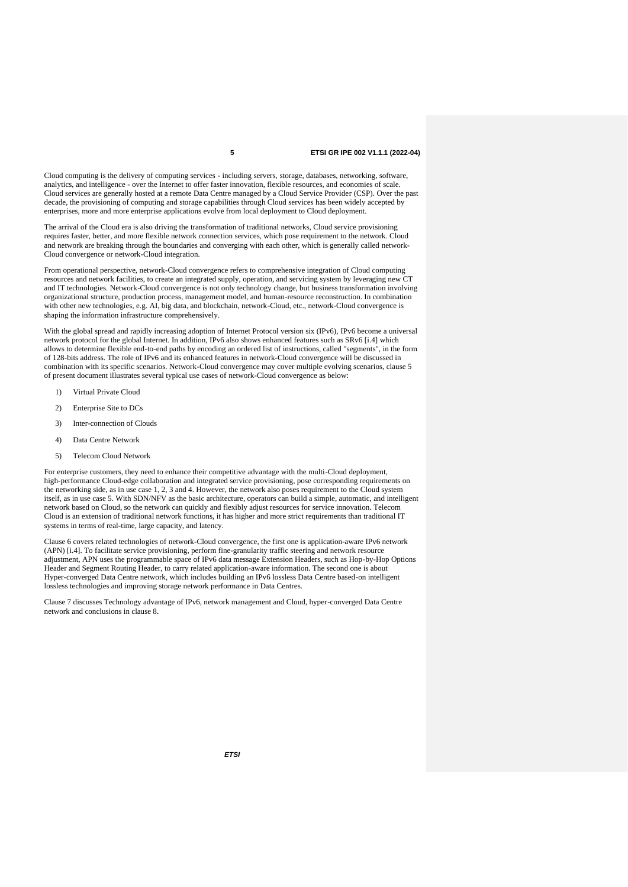Cloud computing is the delivery of computing services - including servers, storage, databases, networking, software, analytics, and intelligence - over the Internet to offer faster innovation, flexible resources, and economies of scale. Cloud services are generally hosted at a remote Data Centre managed by a Cloud Service Provider (CSP). Over the past decade, the provisioning of computing and storage capabilities through Cloud services has been widely accepted by enterprises, more and more enterprise applications evolve from local deployment to Cloud deployment.

The arrival of the Cloud era is also driving the transformation of traditional networks, Cloud service provisioning requires faster, better, and more flexible network connection services, which pose requirement to the network. Cloud and network are breaking through the boundaries and converging with each other, which is generally called network-Cloud convergence or network-Cloud integration.

From operational perspective, network-Cloud convergence refers to comprehensive integration of Cloud computing resources and network facilities, to create an integrated supply, operation, and servicing system by leveraging new CT and IT technologies. Network-Cloud convergence is not only technology change, but business transformation involving organizational structure, production process, management model, and human-resource reconstruction. In combination with other new technologies, e.g. AI, big data, and blockchain, network-Cloud, etc., network-Cloud convergence is shaping the information infrastructure comprehensively.

With the global spread and rapidly increasing adoption of Internet Protocol version six (IPv6), IPv6 become a universal network protocol for the global Internet. In addition, IPv6 also shows enhanced features such as SRv6 [\[i.4\]](#page-5-2) which allows to determine flexible end-to-end paths by encoding an ordered list of instructions, called "segments", in the form of 128-bits address. The role of IPv6 and its enhanced features in network-Cloud convergence will be discussed in combination with its specific scenarios. Network-Cloud convergence may cover multiple evolving scenarios, clause 5 of present document illustrates several typical use cases of network-Cloud convergence as below:

- 1) Virtual Private Cloud
- 2) Enterprise Site to DCs
- 3) Inter-connection of Clouds
- 4) Data Centre Network
- 5) Telecom Cloud Network

For enterprise customers, they need to enhance their competitive advantage with the multi-Cloud deployment, high-performance Cloud-edge collaboration and integrated service provisioning, pose corresponding requirements on the networking side, as in use case 1, 2, 3 and 4. However, the network also poses requirement to the Cloud system itself, as in use case 5. With SDN/NFV as the basic architecture, operators can build a simple, automatic, and intelligent network based on Cloud, so the network can quickly and flexibly adjust resources for service innovation. Telecom Cloud is an extension of traditional network functions, it has higher and more strict requirements than traditional IT systems in terms of real-time, large capacity, and latency.

Clause 6 covers related technologies of network-Cloud convergence, the first one is application-aware IPv6 network (APN) [\[i.4\]](#page-5-2). To facilitate service provisioning, perform fine-granularity traffic steering and network resource adjustment, APN uses the programmable space of IPv6 data message Extension Headers, such as Hop-by-Hop Options Header and Segment Routing Header, to carry related application-aware information. The second one is about Hyper-converged Data Centre network, which includes building an IPv6 lossless Data Centre based-on intelligent lossless technologies and improving storage network performance in Data Centres.

Clause 7 discusses Technology advantage of IPv6, network management and Cloud, hyper-converged Data Centre network and conclusions in clause 8.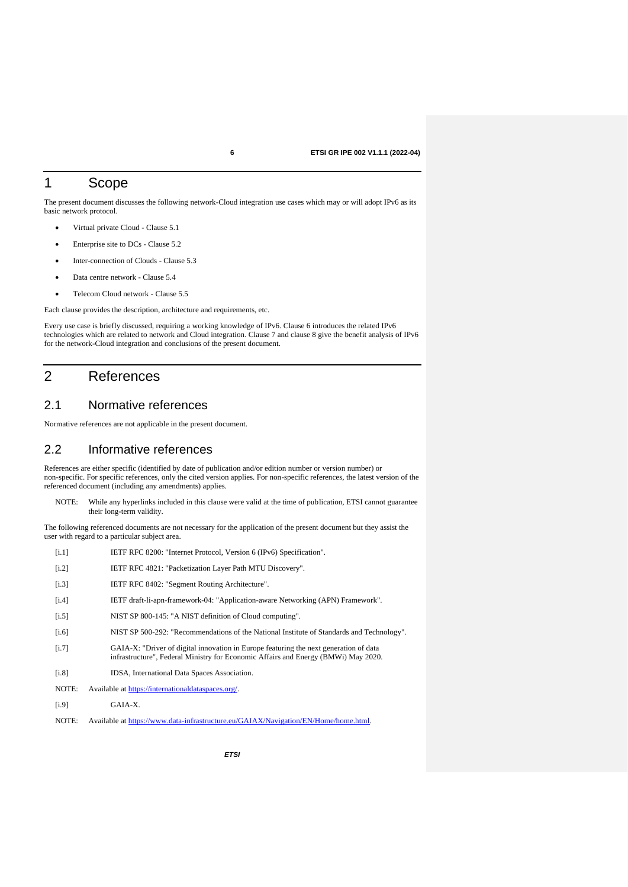### 1 Scope

The present document discusses the following network-Cloud integration use cases which may or will adopt IPv6 as its basic network protocol.

- Virtual private Cloud Clause 5.1
- Enterprise site to DCs Clause 5.2
- Inter-connection of Clouds Clause 5.3
- Data centre network Clause 5.4
- Telecom Cloud network Clause 5.5

Each clause provides the description, architecture and requirements, etc.

Every use case is briefly discussed, requiring a working knowledge of IPv6. Clause 6 introduces the related IPv6 technologies which are related to network and Cloud integration. Clause 7 and clause 8 give the benefit analysis of IPv6 for the network-Cloud integration and conclusions of the present document.

### 2 References

### 2.1 Normative references

Normative references are not applicable in the present document.

### 2.2 Informative references

References are either specific (identified by date of publication and/or edition number or version number) or non-specific. For specific references, only the cited version applies. For non-specific references, the latest version of the referenced document (including any amendments) applies.

NOTE: While any hyperlinks included in this clause were valid at the time of publication, ETSI cannot guarantee their long-term validity.

The following referenced documents are not necessary for the application of the present document but they assist the user with regard to a particular subject area.

- <span id="page-5-0"></span>[i.1] IETF RFC 8200: "Internet Protocol, Version 6 (IPv6) Specification".
- <span id="page-5-1"></span>[i.2] IETF RFC 4821: "Packetization Layer Path MTU Discovery".
- [i.3] IETF RFC 8402: "Segment Routing Architecture".
- <span id="page-5-2"></span>[i.4] IETF draft-li-apn-framework-04: "Application-aware Networking (APN) Framework".
- <span id="page-5-3"></span>[i.5] NIST SP 800-145: "A NIST definition of Cloud computing".
- <span id="page-5-4"></span>[i.6] NIST SP 500-292: "Recommendations of the National Institute of Standards and Technology".
- <span id="page-5-5"></span>[i.7] GAIA-X: "Driver of digital innovation in Europe featuring the next generation of data infrastructure", Federal Ministry for Economic Affairs and Energy (BMWi) May 2020.
- <span id="page-5-6"></span>[i.8] IDSA, International Data Spaces Association.
- NOTE: Available at [https://internationaldataspaces.org/.](https://internationaldataspaces.org/)
- <span id="page-5-7"></span>[i.9] GAIA-X.
- NOTE: Available at [https://www.data-infrastructure.eu/GAIAX/Navigation/EN/Home/home.html.](https://www.data-infrastructure.eu/GAIAX/Navigation/EN/Home/home.html)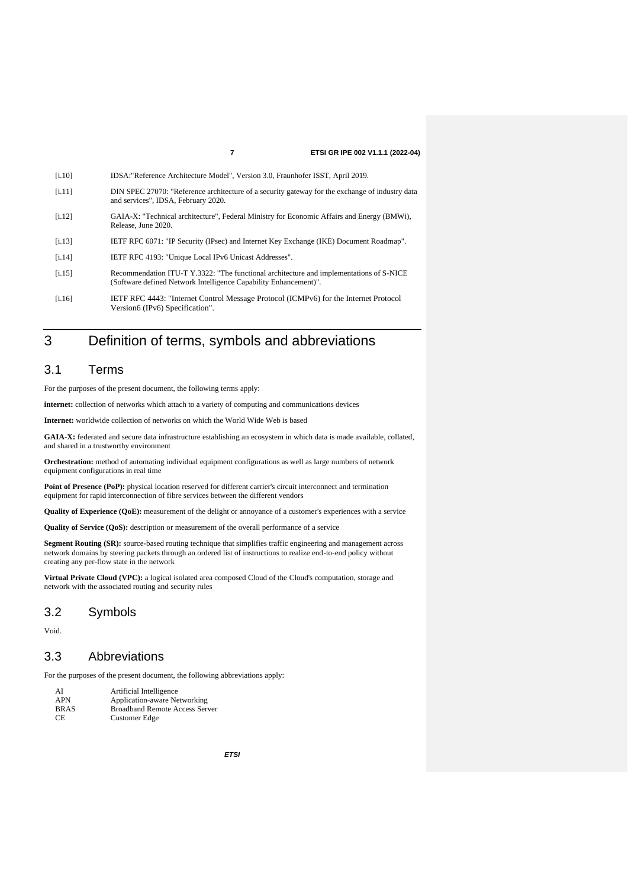<span id="page-6-3"></span><span id="page-6-2"></span><span id="page-6-1"></span><span id="page-6-0"></span>

| [i.10] | IDSA: "Reference Architecture Model", Version 3.0, Fraunhofer ISST, April 2019.                                                                             |
|--------|-------------------------------------------------------------------------------------------------------------------------------------------------------------|
| [i.11] | DIN SPEC 27070: "Reference architecture of a security gateway for the exchange of industry data<br>and services", IDSA, February 2020.                      |
| [i.12] | GAIA-X: "Technical architecture", Federal Ministry for Economic Affairs and Energy (BMWi),<br>Release, June 2020.                                           |
| [i.13] | IETF RFC 6071: "IP Security (IPsec) and Internet Key Exchange (IKE) Document Roadmap".                                                                      |
| [i.14] | IETF RFC 4193: "Unique Local IPv6 Unicast Addresses".                                                                                                       |
| [i.15] | Recommendation ITU-T Y.3322: "The functional architecture and implementations of S-NICE<br>(Software defined Network Intelligence Capability Enhancement)". |
| [i.16] | IETF RFC 4443: "Internet Control Message Protocol (ICMPv6) for the Internet Protocol<br>Version6 (IPv6) Specification".                                     |

## <span id="page-6-6"></span><span id="page-6-5"></span><span id="page-6-4"></span>3 Definition of terms, symbols and abbreviations

### 3.1 Terms

For the purposes of the present document, the following terms apply:

**internet:** collection of networks which attach to a variety of computing and communications devices

**Internet:** worldwide collection of networks on which the World Wide Web is based

**GAIA-X:** federated and secure data infrastructure establishing an ecosystem in which data is made available, collated, and shared in a trustworthy environment

**Orchestration:** method of automating individual equipment configurations as well as large numbers of network equipment configurations in real time

Point of Presence (PoP): physical location reserved for different carrier's circuit interconnect and termination equipment for rapid interconnection of fibre services between the different vendors

**Quality of Experience (QoE):** measurement of the delight or annoyance of a customer's experiences with a service

**Quality of Service (QoS):** description or measurement of the overall performance of a service

**Segment Routing (SR):** source-based routing technique that simplifies traffic engineering and management across network domains by steering packets through an ordered list of instructions to realize end-to-end policy without creating any per-flow state in the network

**Virtual Private Cloud (VPC):** a logical isolated area composed Cloud of the Cloud's computation, storage and network with the associated routing and security rules

### 3.2 Symbols

Void.

### 3.3 Abbreviations

For the purposes of the present document, the following abbreviations apply:

| AI         | Artificial Intelligence               |
|------------|---------------------------------------|
| <b>APN</b> | Application-aware Networking          |
| BRAS       | <b>Broadband Remote Access Server</b> |
| CE         | Customer Edge                         |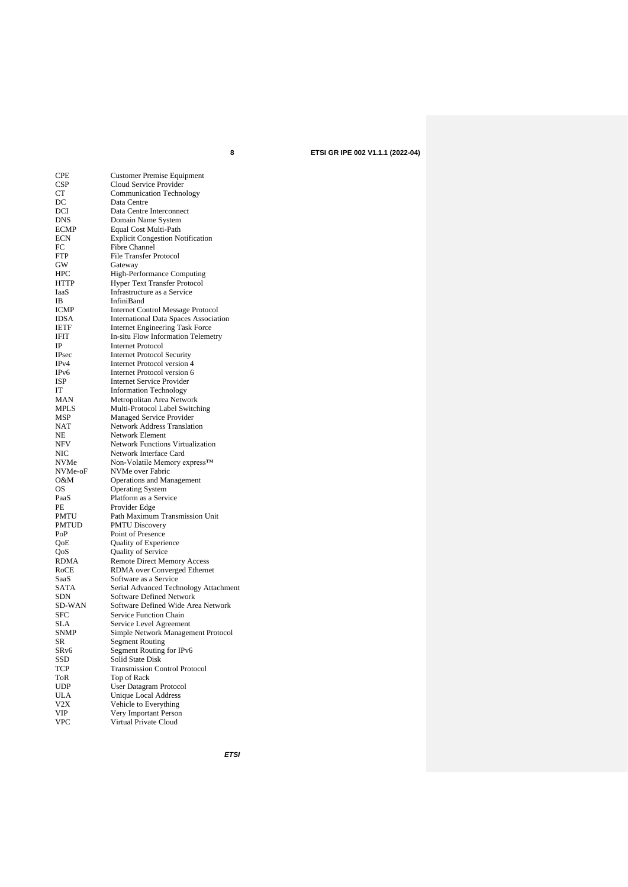| CPE               | <b>Customer Premise Equipment</b>            |
|-------------------|----------------------------------------------|
| CSP               | Cloud Service Provider                       |
| СT                | <b>Communication Technology</b>              |
| DC                | Data Centre                                  |
| DCI               | Data Centre Interconnect                     |
| DNS               | Domain Name System                           |
| ECMP              | Equal Cost Multi-Path                        |
| ECN               | <b>Explicit Congestion Notification</b>      |
| FC                | <b>Fibre Channel</b>                         |
| FTP               | File Transfer Protocol                       |
| GW                | Gateway                                      |
| HPC               | High-Performance Computing                   |
| HTTP              | Hyper Text Transfer Protocol                 |
| IaaS              | Infrastructure as a Service                  |
| IΒ                | InfiniBand                                   |
| <b>ICMP</b>       | <b>Internet Control Message Protocol</b>     |
| <b>IDSA</b>       | <b>International Data Spaces Association</b> |
| <b>IETF</b>       | Internet Engineering Task Force              |
| IFIT              | In-situ Flow Information Telemetry           |
| IP                | <b>Internet Protocol</b>                     |
| IPsec             | <b>Internet Protocol Security</b>            |
| IPv4              | <b>Internet Protocol version 4</b>           |
| IP <sub>v</sub> 6 | Internet Protocol version 6                  |
| ISP               | <b>Internet Service Provider</b>             |
| IT                | <b>Information Technology</b>                |
| MAN               | Metropolitan Area Network                    |
| MPLS              | Multi-Protocol Label Switching               |
| MSP               | Managed Service Provider                     |
| NAT               | <b>Network Address Translation</b>           |
| NΕ                | Network Element                              |
| NFV               | <b>Network Functions Virtualization</b>      |
| NIC               | Network Interface Card                       |
| <b>NVMe</b>       | Non-Volatile Memory express™                 |
| NVMe-oF           | NVMe over Fabric                             |
| 0&M               | Operations and Management                    |
| OS                | <b>Operating System</b>                      |
| PaaS              | Platform as a Service                        |
| PЕ                | Provider Edge                                |
| PMTU              | Path Maximum Transmission Unit               |
| PMTUD             | <b>PMTU Discovery</b>                        |
| PoP               | Point of Presence                            |
| QoE               | Quality of Experience                        |
| QoS               | Quality of Service                           |
| RDMA              | Remote Direct Memory Access                  |
| RoCE              | RDMA over Converged Ethernet                 |
| SaaS              | Software as a Service                        |
| <b>SATA</b>       | Serial Advanced Technology Attachment        |
| SDN               | Software Defined Network                     |
| SD-WAN            | Software Defined Wide Area Network           |
| SFC               | Service Function Chain                       |
| SLA               | Service Level Agreement                      |
| <b>SNMP</b>       | Simple Network Management Protocol           |
| эκ                | Segment Routing                              |
| SR <sub>v</sub> 6 | Segment Routing for IPv6                     |
| SSD               | Solid State Disk                             |
| TCP               | <b>Transmission Control Protocol</b>         |
| ToR               | Top of Rack                                  |
| <b>UDP</b>        | User Datagram Protocol                       |
| <b>ULA</b>        | <b>Unique Local Address</b>                  |
| V2X               | Vehicle to Everything                        |
| <b>VIP</b>        | Very Important Person                        |
| <b>VPC</b>        | Virtual Private Cloud                        |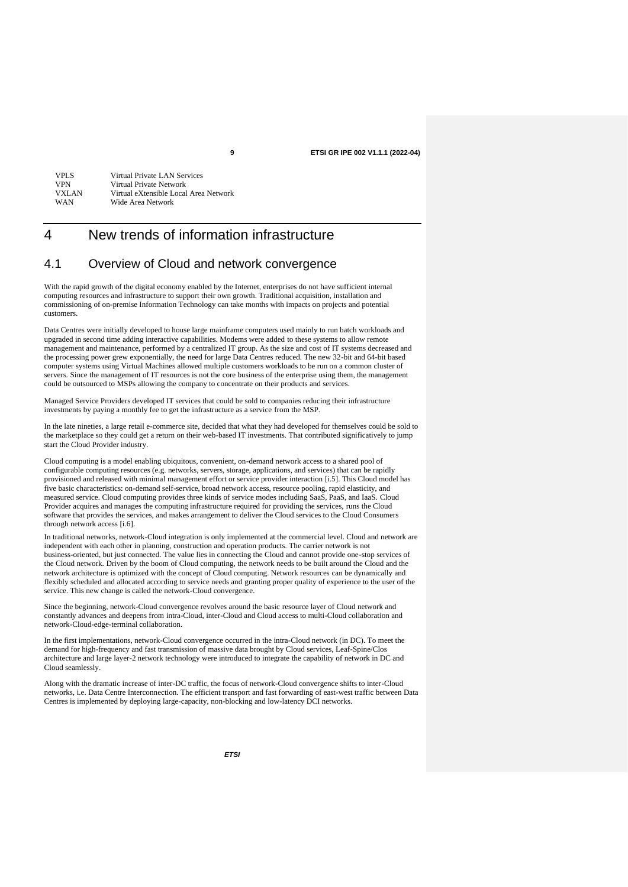| <b>VPLS</b> | Virtual Private LAN Services          |
|-------------|---------------------------------------|
| <b>VPN</b>  | Virtual Private Network               |
| VXLAN       | Virtual eXtensible Local Area Network |
| <b>WAN</b>  | Wide Area Network                     |
|             |                                       |

### 4 New trends of information infrastructure

### 4.1 Overview of Cloud and network convergence

With the rapid growth of the digital economy enabled by the Internet, enterprises do not have sufficient internal computing resources and infrastructure to support their own growth. Traditional acquisition, installation and commissioning of on-premise Information Technology can take months with impacts on projects and potential customers.

Data Centres were initially developed to house large mainframe computers used mainly to run batch workloads and upgraded in second time adding interactive capabilities. Modems were added to these systems to allow remote management and maintenance, performed by a centralized IT group. As the size and cost of IT systems decreased and the processing power grew exponentially, the need for large Data Centres reduced. The new 32-bit and 64-bit based computer systems using Virtual Machines allowed multiple customers workloads to be run on a common cluster of servers. Since the management of IT resources is not the core business of the enterprise using them, the management could be outsourced to MSPs allowing the company to concentrate on their products and services.

Managed Service Providers developed IT services that could be sold to companies reducing their infrastructure investments by paying a monthly fee to get the infrastructure as a service from the MSP.

In the late nineties, a large retail e-commerce site, decided that what they had developed for themselves could be sold to the marketplace so they could get a return on their web-based IT investments. That contributed significatively to jump start the Cloud Provider industry.

Cloud computing is a model enabling ubiquitous, convenient, on-demand network access to a shared pool of configurable computing resources (e.g. networks, servers, storage, applications, and services) that can be rapidly provisioned and released with minimal management effort or service provider interaction [\[i.5\]](#page-5-3). This Cloud model has five basic characteristics: on-demand self-service, broad network access, resource pooling, rapid elasticity, and measured service. Cloud computing provides three kinds of service modes including SaaS, PaaS, and IaaS. Cloud Provider acquires and manages the computing infrastructure required for providing the services, runs the Cloud software that provides the services, and makes arrangement to deliver the Cloud services to the Cloud Consumers through network access [\[i.6\]](#page-5-4).

In traditional networks, network-Cloud integration is only implemented at the commercial level. Cloud and network are independent with each other in planning, construction and operation products. The carrier network is not business-oriented, but just connected. The value lies in connecting the Cloud and cannot provide one-stop services of the Cloud network. Driven by the boom of Cloud computing, the network needs to be built around the Cloud and the network architecture is optimized with the concept of Cloud computing. Network resources can be dynamically and flexibly scheduled and allocated according to service needs and granting proper quality of experience to the user of the service. This new change is called the network-Cloud convergence.

Since the beginning, network-Cloud convergence revolves around the basic resource layer of Cloud network and constantly advances and deepens from intra-Cloud, inter-Cloud and Cloud access to multi-Cloud collaboration and network-Cloud-edge-terminal collaboration.

In the first implementations, network-Cloud convergence occurred in the intra-Cloud network (in DC). To meet the demand for high-frequency and fast transmission of massive data brought by Cloud services, Leaf-Spine/Clos architecture and large layer-2 network technology were introduced to integrate the capability of network in DC and Cloud seamlessly.

Along with the dramatic increase of inter-DC traffic, the focus of network-Cloud convergence shifts to inter-Cloud networks, i.e. Data Centre Interconnection. The efficient transport and fast forwarding of east-west traffic between Data Centres is implemented by deploying large-capacity, non-blocking and low-latency DCI networks.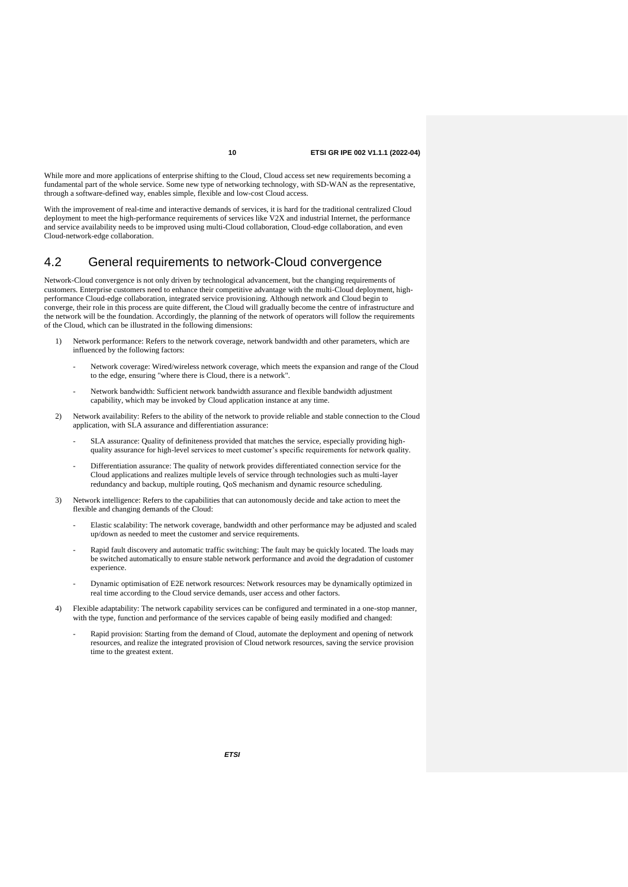While more and more applications of enterprise shifting to the Cloud, Cloud access set new requirements becoming a fundamental part of the whole service. Some new type of networking technology, with SD-WAN as the representative, through a software-defined way, enables simple, flexible and low-cost Cloud access.

With the improvement of real-time and interactive demands of services, it is hard for the traditional centralized Cloud deployment to meet the high-performance requirements of services like V2X and industrial Internet, the performance and service availability needs to be improved using multi-Cloud collaboration, Cloud-edge collaboration, and even Cloud-network-edge collaboration.

### 4.2 General requirements to network-Cloud convergence

Network-Cloud convergence is not only driven by technological advancement, but the changing requirements of customers. Enterprise customers need to enhance their competitive advantage with the multi-Cloud deployment, highperformance Cloud-edge collaboration, integrated service provisioning. Although network and Cloud begin to converge, their role in this process are quite different, the Cloud will gradually become the centre of infrastructure and the network will be the foundation. Accordingly, the planning of the network of operators will follow the requirements of the Cloud, which can be illustrated in the following dimensions:

- Network performance: Refers to the network coverage, network bandwidth and other parameters, which are influenced by the following factors:
	- Network coverage: Wired/wireless network coverage, which meets the expansion and range of the Cloud to the edge, ensuring "where there is Cloud, there is a network".
	- Network bandwidth: Sufficient network bandwidth assurance and flexible bandwidth adjustment capability, which may be invoked by Cloud application instance at any time.
- 2) Network availability: Refers to the ability of the network to provide reliable and stable connection to the Cloud application, with SLA assurance and differentiation assurance:
	- SLA assurance: Quality of definiteness provided that matches the service, especially providing highquality assurance for high-level services to meet customer's specific requirements for network quality.
	- Differentiation assurance: The quality of network provides differentiated connection service for the Cloud applications and realizes multiple levels of service through technologies such as multi-layer redundancy and backup, multiple routing, QoS mechanism and dynamic resource scheduling.
- 3) Network intelligence: Refers to the capabilities that can autonomously decide and take action to meet the flexible and changing demands of the Cloud:
	- Elastic scalability: The network coverage, bandwidth and other performance may be adjusted and scaled up/down as needed to meet the customer and service requirements.
	- Rapid fault discovery and automatic traffic switching: The fault may be quickly located. The loads may be switched automatically to ensure stable network performance and avoid the degradation of customer experience.
	- Dynamic optimisation of E2E network resources: Network resources may be dynamically optimized in real time according to the Cloud service demands, user access and other factors.
- 4) Flexible adaptability: The network capability services can be configured and terminated in a one-stop manner, with the type, function and performance of the services capable of being easily modified and changed:
	- Rapid provision: Starting from the demand of Cloud, automate the deployment and opening of network resources, and realize the integrated provision of Cloud network resources, saving the service provision time to the greatest extent.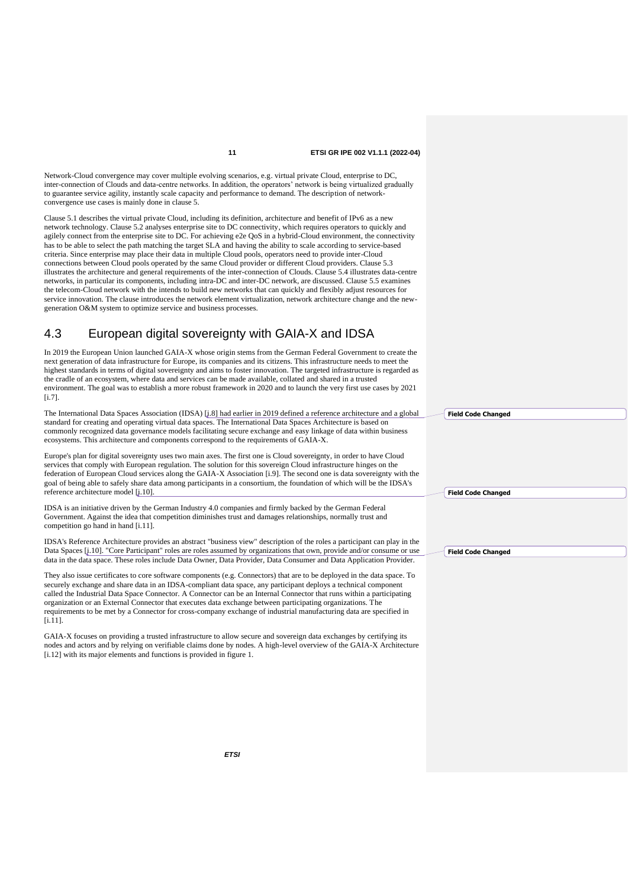Network-Cloud convergence may cover multiple evolving scenarios, e.g. virtual private Cloud, enterprise to DC, inter-connection of Clouds and data-centre networks. In addition, the operators' network is being virtualized gradually to guarantee service agility, instantly scale capacity and performance to demand. The description of networkconvergence use cases is mainly done in clause 5.

Clause 5.1 describes the virtual private Cloud, including its definition, architecture and benefit of IPv6 as a new network technology. Clause 5.2 analyses enterprise site to DC connectivity, which requires operators to quickly and agilely connect from the enterprise site to DC. For achieving e2e QoS in a hybrid-Cloud environment, the connectivity has to be able to select the path matching the target SLA and having the ability to scale according to service-based criteria. Since enterprise may place their data in multiple Cloud pools, operators need to provide inter-Cloud connections between Cloud pools operated by the same Cloud provider or different Cloud providers. Clause 5.3 illustrates the architecture and general requirements of the inter-connection of Clouds. Clause 5.4 illustrates data-centre networks, in particular its components, including intra-DC and inter-DC network, are discussed. Clause 5.5 examines the telecom-Cloud network with the intends to build new networks that can quickly and flexibly adjust resources for service innovation. The clause introduces the network element virtualization, network architecture change and the newgeneration O&M system to optimize service and business processes.

### 4.3 European digital sovereignty with GAIA-X and IDSA

In 2019 the European Union launched GAIA-X whose origin stems from the German Federal Government to create the next generation of data infrastructure for Europe, its companies and its citizens. This infrastructure needs to meet the highest standards in terms of digital sovereignty and aims to foster innovation. The targeted infrastructure is regarded as the cradle of an ecosystem, where data and services can be made available, collated and shared in a trusted environment. The goal was to establish a more robust framework in 2020 and to launch the very first use cases by 2021 [\[i.7\]](#page-5-5)

The International Data Spaces Association (IDSA) [\[i.8\]](#page-5-6) had earlier in 2019 defined a reference architecture and a global standard for creating and operating virtual data spaces. The International Data Spaces Architecture is based on commonly recognized data governance models facilitating secure exchange and easy linkage of data within business ecosystems. This architecture and components correspond to the requirements of GAIA-X.

Europe's plan for digital sovereignty uses two main axes. The first one is Cloud sovereignty, in order to have Cloud services that comply with European regulation. The solution for this sovereign Cloud infrastructure hinges on the federation of European Cloud services along the GAIA-X Association [\[i.9\]](#page-5-7). The second one is data sovereignty with the goal of being able to safely share data among participants in a consortium, the foundation of which will be the IDSA's reference architecture model [\[i.10\]](#page-6-0).

IDSA is an initiative driven by the German Industry 4.0 companies and firmly backed by the German Federal Government. Against the idea that competition diminishes trust and damages relationships, normally trust and competition go hand in hand [\[i.11\]](#page-6-1).

IDSA's Reference Architecture provides an abstract "business view" description of the roles a participant can play in the Data Spaces [\[i.10\]](#page-6-0). "Core Participant" roles are roles assumed by organizations that own, provide and/or consume or use data in the data space. These roles include Data Owner, Data Provider, Data Consumer and Data Application Provider.

They also issue certificates to core software components (e.g. Connectors) that are to be deployed in the data space. To securely exchange and share data in an IDSA-compliant data space, any participant deploys a technical component called the Industrial Data Space Connector. A Connector can be an Internal Connector that runs within a participating organization or an External Connector that executes data exchange between participating organizations. The requirements to be met by a Connector for cross-company exchange of industrial manufacturing data are specified in [\[i.11\]](#page-6-1).

GAIA-X focuses on providing a trusted infrastructure to allow secure and sovereign data exchanges by certifying its nodes and actors and by relying on verifiable claims done by nodes. A high-level overview of the GAIA-X Architecture [\[i.12\]](#page-6-2) with its major elements and functions is provided in figure 1.

**Field Code Changed**

**Field Code Changed**

**Field Code Changed**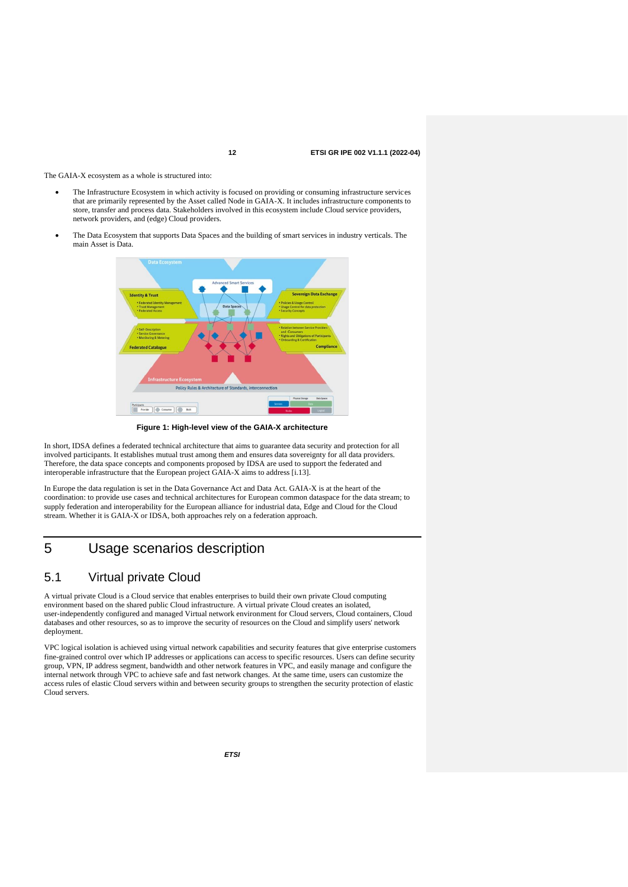The GAIA-X ecosystem as a whole is structured into:

- The Infrastructure Ecosystem in which activity is focused on providing or consuming infrastructure services that are primarily represented by the Asset called Node in GAIA-X. It includes infrastructure components to store, transfer and process data. Stakeholders involved in this ecosystem include Cloud service providers, network providers, and (edge) Cloud providers.
- The Data Ecosystem that supports Data Spaces and the building of smart services in industry verticals. The main Asset is Data.



**Figure 1: High-level view of the GAIA-X architecture**

In short, IDSA defines a federated technical architecture that aims to guarantee data security and protection for all involved participants. It establishes mutual trust among them and ensures data sovereignty for all data providers. Therefore, the data space concepts and components proposed by IDSA are used to support the federated and interoperable infrastructure that the European project GAIA-X aims to address [\[i.13\]](#page-6-3).

In Europe the data regulation is set in the Data Governance Act and Data Act. GAIA-X is at the heart of the coordination: to provide use cases and technical architectures for European common dataspace for the data stream; to supply federation and interoperability for the European alliance for industrial data, Edge and Cloud for the Cloud stream. Whether it is GAIA-X or IDSA, both approaches rely on a federation approach.

### 5 Usage scenarios description

### 5.1 Virtual private Cloud

A virtual private Cloud is a Cloud service that enables enterprises to build their own private Cloud computing environment based on the shared public Cloud infrastructure. A virtual private Cloud creates an isolated, user-independently configured and managed Virtual network environment for Cloud servers, Cloud containers, Cloud databases and other resources, so as to improve the security of resources on the Cloud and simplify users' network deployment.

VPC logical isolation is achieved using virtual network capabilities and security features that give enterprise customers fine-grained control over which IP addresses or applications can access to specific resources. Users can define security group, VPN, IP address segment, bandwidth and other network features in VPC, and easily manage and configure the internal network through VPC to achieve safe and fast network changes. At the same time, users can customize the access rules of elastic Cloud servers within and between security groups to strengthen the security protection of elastic Cloud servers.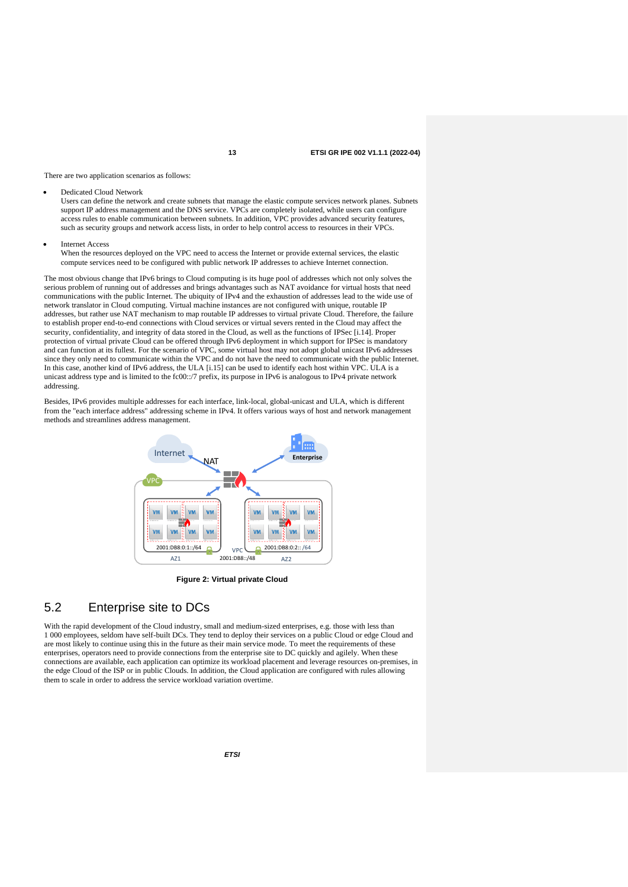There are two application scenarios as follows:

• Dedicated Cloud Network

Users can define the network and create subnets that manage the elastic compute services network planes. Subnets support IP address management and the DNS service. VPCs are completely isolated, while users can configure access rules to enable communication between subnets. In addition, VPC provides advanced security features, such as security groups and network access lists, in order to help control access to resources in their VPCs.

**Internet Access** When the resources deployed on the VPC need to access the Internet or provide external services, the elastic compute services need to be configured with public network IP addresses to achieve Internet connection.

The most obvious change that IPv6 brings to Cloud computing is its huge pool of addresses which not only solves the serious problem of running out of addresses and brings advantages such as NAT avoidance for virtual hosts that need communications with the public Internet. The ubiquity of IPv4 and the exhaustion of addresses lead to the wide use of network translator in Cloud computing. Virtual machine instances are not configured with unique, routable IP addresses, but rather use NAT mechanism to map routable IP addresses to virtual private Cloud. Therefore, the failure to establish proper end-to-end connections with Cloud services or virtual severs rented in the Cloud may affect the security, confidentiality, and integrity of data stored in the Cloud, as well as the functions of IPSec [\[i.14\]](#page-6-4). Proper protection of virtual private Cloud can be offered through IPv6 deployment in which support for IPSec is mandatory and can function at its fullest. For the scenario of VPC, some virtual host may not adopt global unicast IPv6 addresses since they only need to communicate within the VPC and do not have the need to communicate with the public Internet. In this case, another kind of IPv6 address, the ULA [\[i.15\]](#page-6-5) can be used to identify each host within VPC. ULA is a unicast address type and is limited to the fc00::/7 prefix, its purpose in IPv6 is analogous to IPv4 private network addressing.

Besides, IPv6 provides multiple addresses for each interface, link-local, global-unicast and ULA, which is different from the "each interface address" addressing scheme in IPv4. It offers various ways of host and network management methods and streamlines address management.



**Figure 2: Virtual private Cloud**

### 5.2 Enterprise site to DCs

With the rapid development of the Cloud industry, small and medium-sized enterprises, e.g. those with less than 1 000 employees, seldom have self-built DCs. They tend to deploy their services on a public Cloud or edge Cloud and are most likely to continue using this in the future as their main service mode. To meet the requirements of these enterprises, operators need to provide connections from the enterprise site to DC quickly and agilely. When these connections are available, each application can optimize its workload placement and leverage resources on-premises, in the edge Cloud of the ISP or in public Clouds. In addition, the Cloud application are configured with rules allowing them to scale in order to address the service workload variation overtime.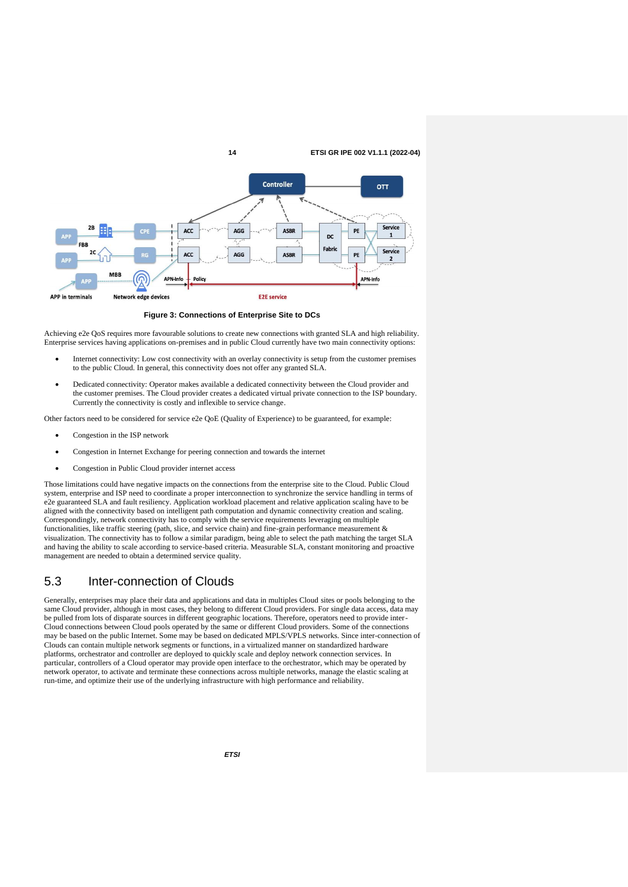

**Figure 3: Connections of Enterprise Site to DCs**

Achieving e2e QoS requires more favourable solutions to create new connections with granted SLA and high reliability. Enterprise services having applications on-premises and in public Cloud currently have two main connectivity options:

- Internet connectivity: Low cost connectivity with an overlay connectivity is setup from the customer premises to the public Cloud. In general, this connectivity does not offer any granted SLA.
- Dedicated connectivity: Operator makes available a dedicated connectivity between the Cloud provider and the customer premises. The Cloud provider creates a dedicated virtual private connection to the ISP boundary. Currently the connectivity is costly and inflexible to service change.

Other factors need to be considered for service e2e QoE (Quality of Experience) to be guaranteed, for example:

- Congestion in the ISP network
- Congestion in Internet Exchange for peering connection and towards the internet
- Congestion in Public Cloud provider internet access

Those limitations could have negative impacts on the connections from the enterprise site to the Cloud. Public Cloud system, enterprise and ISP need to coordinate a proper interconnection to synchronize the service handling in terms of e2e guaranteed SLA and fault resiliency. Application workload placement and relative application scaling have to be aligned with the connectivity based on intelligent path computation and dynamic connectivity creation and scaling. Correspondingly, network connectivity has to comply with the service requirements leveraging on multiple functionalities, like traffic steering (path, slice, and service chain) and fine-grain performance measurement & visualization. The connectivity has to follow a similar paradigm, being able to select the path matching the target SLA and having the ability to scale according to service-based criteria. Measurable SLA, constant monitoring and proactive management are needed to obtain a determined service quality.

### 5.3 Inter-connection of Clouds

Generally, enterprises may place their data and applications and data in multiples Cloud sites or pools belonging to the same Cloud provider, although in most cases, they belong to different Cloud providers. For single data access, data may be pulled from lots of disparate sources in different geographic locations. Therefore, operators need to provide inter-Cloud connections between Cloud pools operated by the same or different Cloud providers. Some of the connections may be based on the public Internet. Some may be based on dedicated MPLS/VPLS networks. Since inter-connection of Clouds can contain multiple network segments or functions, in a virtualized manner on standardized hardware platforms, orchestrator and controller are deployed to quickly scale and deploy network connection services. In particular, controllers of a Cloud operator may provide open interface to the orchestrator, which may be operated by network operator, to activate and terminate these connections across multiple networks, manage the elastic scaling at run-time, and optimize their use of the underlying infrastructure with high performance and reliability.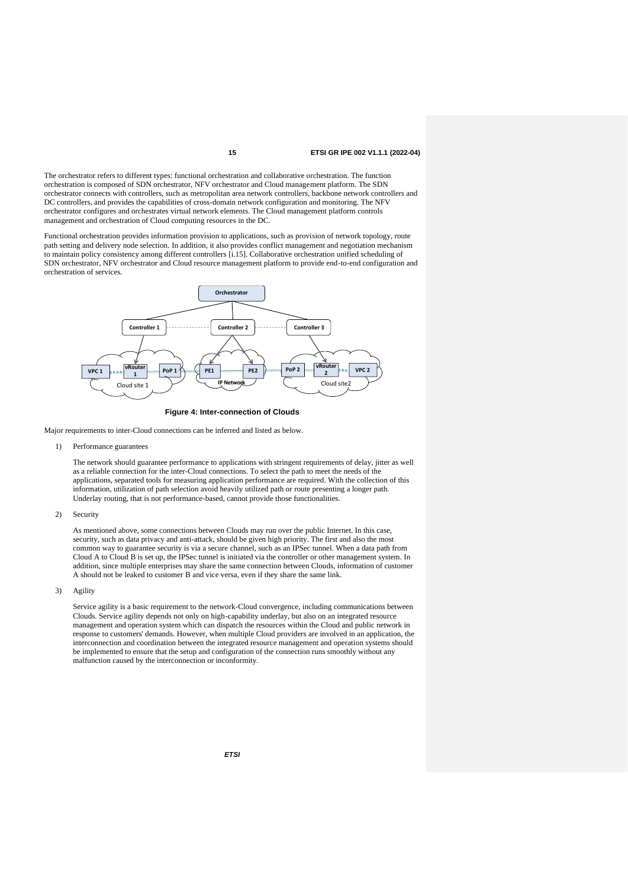The orchestrator refers to different types: functional orchestration and collaborative orchestration. The function orchestration is composed of SDN orchestrator, NFV orchestrator and Cloud management platform. The SDN orchestrator connects with controllers, such as metropolitan area network controllers, backbone network controllers and DC controllers, and provides the capabilities of cross-domain network configuration and monitoring. The NFV orchestrator configures and orchestrates virtual network elements. The Cloud management platform controls management and orchestration of Cloud computing resources in the DC.

Functional orchestration provides information provision to applications, such as provision of network topology, route path setting and delivery node selection. In addition, it also provides conflict management and negotiation mechanism to maintain policy consistency among different controllers [\[i.15\]](#page-6-5). Collaborative orchestration unified scheduling of SDN orchestrator, NFV orchestrator and Cloud resource management platform to provide end-to-end configuration and orchestration of services.



**Figure 4: Inter-connection of Clouds**

Major requirements to inter-Cloud connections can be inferred and listed as below.

1) Performance guarantees

The network should guarantee performance to applications with stringent requirements of delay, jitter as well as a reliable connection for the inter-Cloud connections. To select the path to meet the needs of the applications, separated tools for measuring application performance are required. With the collection of this information, utilization of path selection avoid heavily utilized path or route presenting a longer path. Underlay routing, that is not performance-based, cannot provide those functionalities.

#### 2) Security

As mentioned above, some connections between Clouds may run over the public Internet. In this case, security, such as data privacy and anti-attack, should be given high priority. The first and also the most common way to guarantee security is via a secure channel, such as an IPSec tunnel. When a data path from Cloud A to Cloud B is set up, the IPSec tunnel is initiated via the controller or other management system. In addition, since multiple enterprises may share the same connection between Clouds, information of customer A should not be leaked to customer B and vice versa, even if they share the same link.

3) Agility

Service agility is a basic requirement to the network-Cloud convergence, including communications between Clouds. Service agility depends not only on high-capability underlay, but also on an integrated resource management and operation system which can dispatch the resources within the Cloud and public network in response to customers' demands. However, when multiple Cloud providers are involved in an application, the interconnection and coordination between the integrated resource management and operation systems should be implemented to ensure that the setup and configuration of the connection runs smoothly without any malfunction caused by the interconnection or inconformity.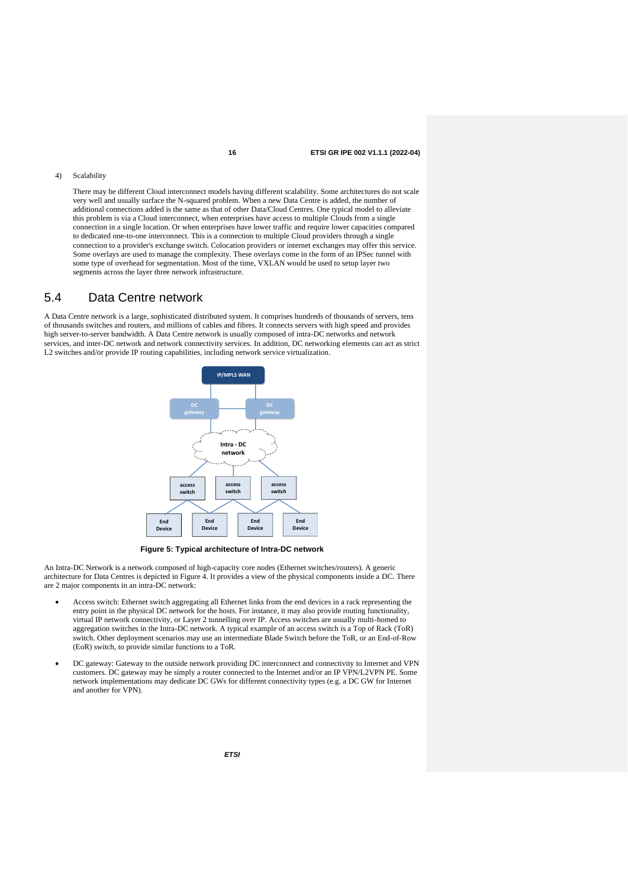#### 4) Scalability

There may be different Cloud interconnect models having different scalability. Some architectures do not scale very well and usually surface the N-squared problem. When a new Data Centre is added, the number of additional connections added is the same as that of other Data/Cloud Centres. One typical model to alleviate this problem is via a Cloud interconnect, when enterprises have access to multiple Clouds from a single connection in a single location. Or when enterprises have lower traffic and require lower capacities compared to dedicated one-to-one interconnect. This is a connection to multiple Cloud providers through a single connection to a provider's exchange switch. Colocation providers or internet exchanges may offer this service. Some overlays are used to manage the complexity. These overlays come in the form of an IPSec tunnel with some type of overhead for segmentation. Most of the time, VXLAN would be used to setup layer two segments across the layer three network infrastructure.

### 5.4 Data Centre network

A Data Centre network is a large, sophisticated distributed system. It comprises hundreds of thousands of servers, tens of thousands switches and routers, and millions of cables and fibres. It connects servers with high speed and provides high server-to-server bandwidth. A Data Centre network is usually composed of intra-DC networks and network services, and inter-DC network and network connectivity services. In addition, DC networking elements can act as strict L2 switches and/or provide IP routing capabilities, including network service virtualization.



**Figure 5: Typical architecture of Intra-DC network**

An Intra-DC Network is a network composed of high-capacity core nodes (Ethernet switches/routers). A generic architecture for Data Centres is depicted in Figure 4. It provides a view of the physical components inside a DC. There are 2 major components in an intra-DC network:

- Access switch: Ethernet switch aggregating all Ethernet links from the end devices in a rack representing the entry point in the physical DC network for the hosts. For instance, it may also provide routing functionality, virtual IP network connectivity, or Layer 2 tunnelling over IP. Access switches are usually multi-homed to aggregation switches in the Intra-DC network. A typical example of an access switch is a Top of Rack (ToR) switch. Other deployment scenarios may use an intermediate Blade Switch before the ToR, or an End-of-Row (EoR) switch, to provide similar functions to a ToR.
- DC gateway: Gateway to the outside network providing DC interconnect and connectivity to Internet and VPN customers. DC gateway may be simply a router connected to the Internet and/or an IP VPN/L2VPN PE. Some network implementations may dedicate DC GWs for different connectivity types (e.g. a DC GW for Internet and another for VPN).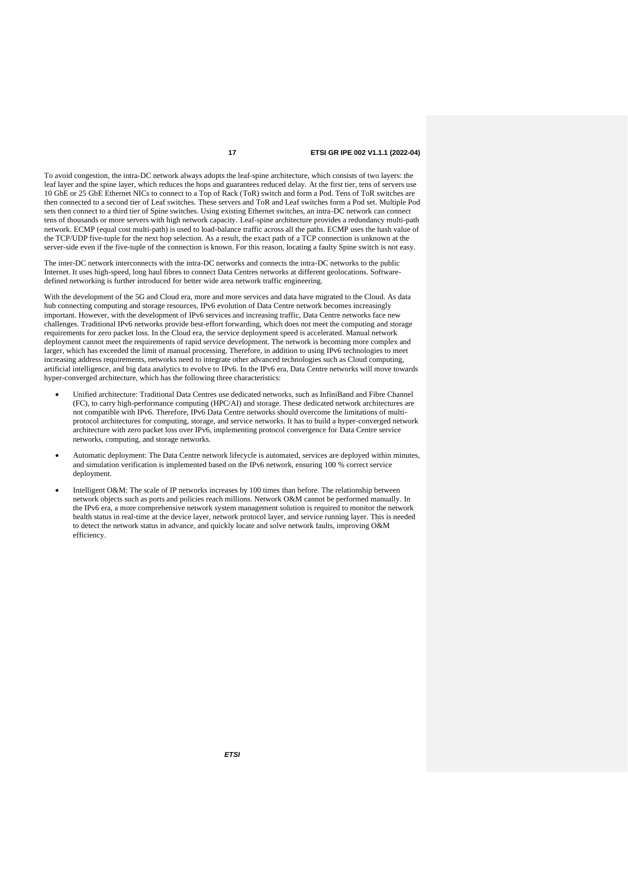To avoid congestion, the intra-DC network always adopts the leaf-spine architecture, which consists of two layers: the leaf layer and the spine layer, which reduces the hops and guarantees reduced delay. At the first tier, tens of servers use 10 GbE or 25 GbE Ethernet NICs to connect to a Top of Rack (ToR) switch and form a Pod. Tens of ToR switches are then connected to a second tier of Leaf switches. These servers and ToR and Leaf switches form a Pod set. Multiple Pod sets then connect to a third tier of Spine switches. Using existing Ethernet switches, an intra-DC network can connect tens of thousands or more servers with high network capacity. Leaf-spine architecture provides a redundancy multi-path network. ECMP (equal cost multi-path) is used to load-balance traffic across all the paths. ECMP uses the hash value of the TCP/UDP five-tuple for the next hop selection. As a result, the exact path of a TCP connection is unknown at the server-side even if the five-tuple of the connection is known. For this reason, locating a faulty Spine switch is not easy.

The inter-DC network interconnects with the intra-DC networks and connects the intra-DC networks to the public Internet. It uses high-speed, long haul fibres to connect Data Centres networks at different geolocations. Softwaredefined networking is further introduced for better wide area network traffic engineering.

With the development of the 5G and Cloud era, more and more services and data have migrated to the Cloud. As data hub connecting computing and storage resources, IPv6 evolution of Data Centre network becomes increasingly important. However, with the development of IPv6 services and increasing traffic, Data Centre networks face new challenges. Traditional IPv6 networks provide best-effort forwarding, which does not meet the computing and storage requirements for zero packet loss. In the Cloud era, the service deployment speed is accelerated. Manual network deployment cannot meet the requirements of rapid service development. The network is becoming more complex and larger, which has exceeded the limit of manual processing. Therefore, in addition to using IPv6 technologies to meet increasing address requirements, networks need to integrate other advanced technologies such as Cloud computing, artificial intelligence, and big data analytics to evolve to IPv6. In the IPv6 era, Data Centre networks will move towards hyper-converged architecture, which has the following three characteristics:

- Unified architecture: Traditional Data Centres use dedicated networks, such as InfiniBand and Fibre Channel (FC), to carry high-performance computing (HPC/AI) and storage. These dedicated network architectures are not compatible with IPv6. Therefore, IPv6 Data Centre networks should overcome the limitations of multiprotocol architectures for computing, storage, and service networks. It has to build a hyper-converged network architecture with zero packet loss over IPv6, implementing protocol convergence for Data Centre service networks, computing, and storage networks.
- Automatic deployment: The Data Centre network lifecycle is automated, services are deployed within minutes, and simulation verification is implemented based on the IPv6 network, ensuring 100 % correct service deployment.
- Intelligent O&M: The scale of IP networks increases by 100 times than before. The relationship between network objects such as ports and policies reach millions. Network O&M cannot be performed manually. In the IPv6 era, a more comprehensive network system management solution is required to monitor the network health status in real-time at the device layer, network protocol layer, and service running layer. This is needed to detect the network status in advance, and quickly locate and solve network faults, improving O&M efficiency.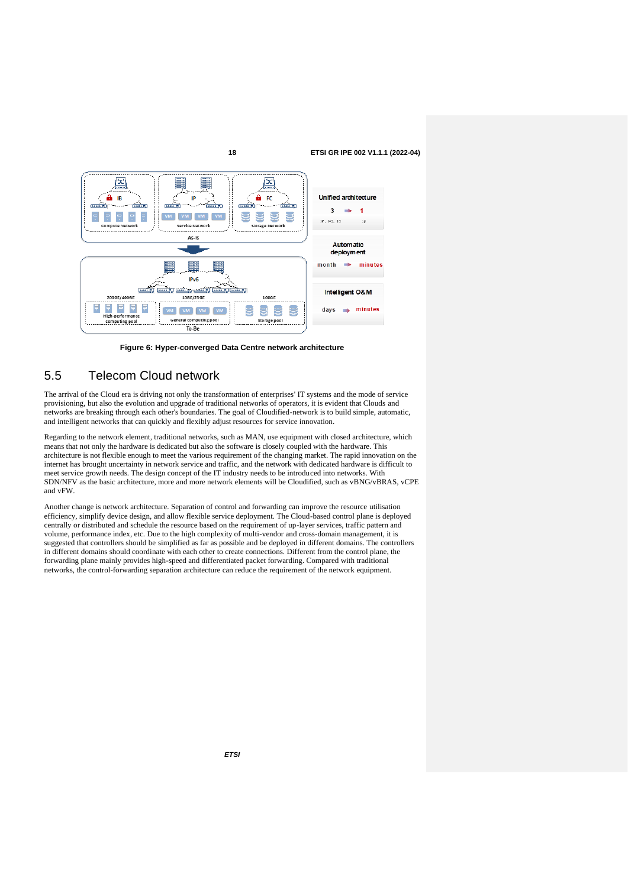

**Figure 6: Hyper-converged Data Centre network architecture**

### 5.5 Telecom Cloud network

The arrival of the Cloud era is driving not only the transformation of enterprises' IT systems and the mode of service provisioning, but also the evolution and upgrade of traditional networks of operators, it is evident that Clouds and networks are breaking through each other's boundaries. The goal of Cloudified-network is to build simple, automatic, and intelligent networks that can quickly and flexibly adjust resources for service innovation.

Regarding to the network element, traditional networks, such as MAN, use equipment with closed architecture, which means that not only the hardware is dedicated but also the software is closely coupled with the hardware. This architecture is not flexible enough to meet the various requirement of the changing market. The rapid innovation on the internet has brought uncertainty in network service and traffic, and the network with dedicated hardware is difficult to meet service growth needs. The design concept of the IT industry needs to be introduced into networks. With SDN/NFV as the basic architecture, more and more network elements will be Cloudified, such as vBNG/vBRAS, vCPE and vFW.

Another change is network architecture. Separation of control and forwarding can improve the resource utilisation efficiency, simplify device design, and allow flexible service deployment. The Cloud-based control plane is deployed centrally or distributed and schedule the resource based on the requirement of up-layer services, traffic pattern and volume, performance index, etc. Due to the high complexity of multi-vendor and cross-domain management, it is suggested that controllers should be simplified as far as possible and be deployed in different domains. The controllers in different domains should coordinate with each other to create connections. Different from the control plane, the forwarding plane mainly provides high-speed and differentiated packet forwarding. Compared with traditional networks, the control-forwarding separation architecture can reduce the requirement of the network equipment.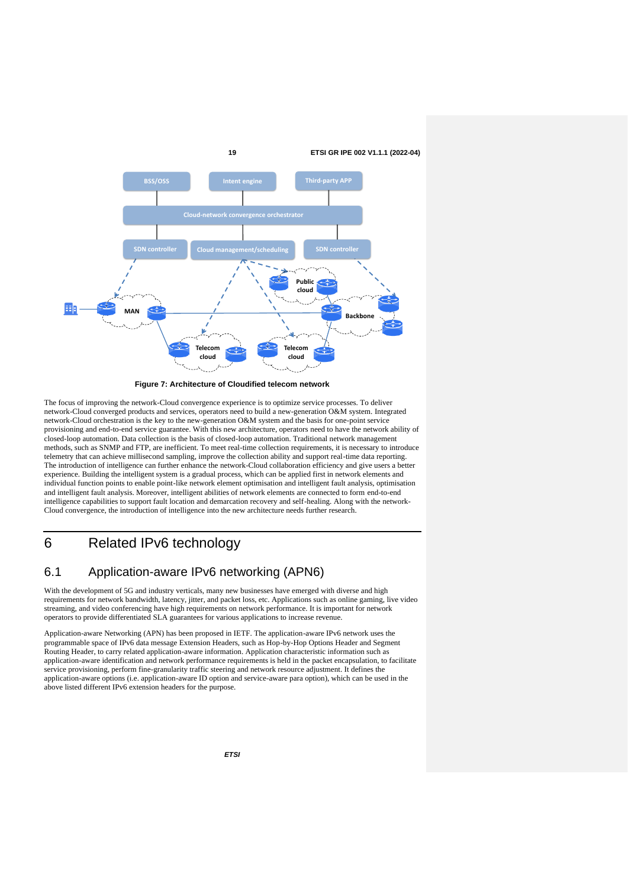

**Figure 7: Architecture of Cloudified telecom network**

The focus of improving the network-Cloud convergence experience is to optimize service processes. To deliver network-Cloud converged products and services, operators need to build a new-generation O&M system. Integrated network-Cloud orchestration is the key to the new-generation O&M system and the basis for one-point service provisioning and end-to-end service guarantee. With this new architecture, operators need to have the network ability of closed-loop automation. Data collection is the basis of closed-loop automation. Traditional network management methods, such as SNMP and FTP, are inefficient. To meet real-time collection requirements, it is necessary to introduce telemetry that can achieve millisecond sampling, improve the collection ability and support real-time data reporting. The introduction of intelligence can further enhance the network-Cloud collaboration efficiency and give users a better experience. Building the intelligent system is a gradual process, which can be applied first in network elements and individual function points to enable point-like network element optimisation and intelligent fault analysis, optimisation and intelligent fault analysis. Moreover, intelligent abilities of network elements are connected to form end-to-end intelligence capabilities to support fault location and demarcation recovery and self-healing. Along with the network-Cloud convergence, the introduction of intelligence into the new architecture needs further research.

## 6 Related IPv6 technology

### 6.1 Application-aware IPv6 networking (APN6)

With the development of 5G and industry verticals, many new businesses have emerged with diverse and high requirements for network bandwidth, latency, jitter, and packet loss, etc. Applications such as online gaming, live video streaming, and video conferencing have high requirements on network performance. It is important for network operators to provide differentiated SLA guarantees for various applications to increase revenue.

Application-aware Networking (APN) has been proposed in IETF. The application-aware IPv6 network uses the programmable space of IPv6 data message Extension Headers, such as Hop-by-Hop Options Header and Segment Routing Header, to carry related application-aware information. Application characteristic information such as application-aware identification and network performance requirements is held in the packet encapsulation, to facilitate service provisioning, perform fine-granularity traffic steering and network resource adjustment. It defines the application-aware options (i.e. application-aware ID option and service-aware para option), which can be used in the above listed different IPv6 extension headers for the purpose.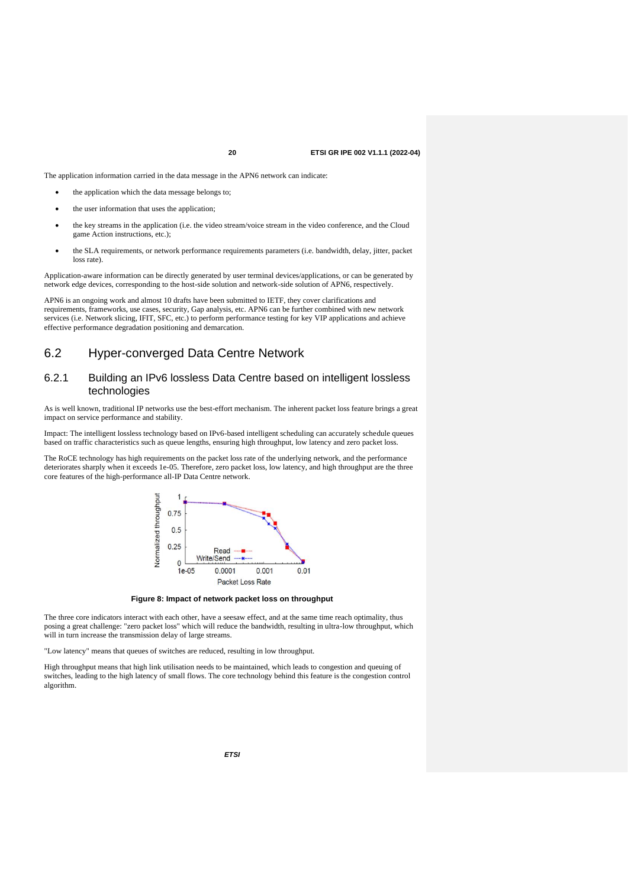The application information carried in the data message in the APN6 network can indicate:

- the application which the data message belongs to;
- the user information that uses the application;
- the key streams in the application (i.e. the video stream/voice stream in the video conference, and the Cloud game Action instructions, etc.);
- the SLA requirements, or network performance requirements parameters (i.e. bandwidth, delay, jitter, packet loss rate)

Application-aware information can be directly generated by user terminal devices/applications, or can be generated by network edge devices, corresponding to the host-side solution and network-side solution of APN6, respectively.

APN6 is an ongoing work and almost 10 drafts have been submitted to IETF, they cover clarifications and requirements, frameworks, use cases, security, Gap analysis, etc. APN6 can be further combined with new network services (i.e. Network slicing, IFIT, SFC, etc.) to perform performance testing for key VIP applications and achieve effective performance degradation positioning and demarcation.

### 6.2 Hyper-converged Data Centre Network

### 6.2.1 Building an IPv6 lossless Data Centre based on intelligent lossless technologies

As is well known, traditional IP networks use the best-effort mechanism. The inherent packet loss feature brings a great impact on service performance and stability.

Impact: The intelligent lossless technology based on IPv6-based intelligent scheduling can accurately schedule queues based on traffic characteristics such as queue lengths, ensuring high throughput, low latency and zero packet loss.

The RoCE technology has high requirements on the packet loss rate of the underlying network, and the performance deteriorates sharply when it exceeds 1e-05. Therefore, zero packet loss, low latency, and high throughput are the three core features of the high-performance all-IP Data Centre network.



**Figure 8: Impact of network packet loss on throughput**

The three core indicators interact with each other, have a seesaw effect, and at the same time reach optimality, thus posing a great challenge: "zero packet loss" which will reduce the bandwidth, resulting in ultra-low throughput, which will in turn increase the transmission delay of large streams.

"Low latency" means that queues of switches are reduced, resulting in low throughput.

High throughput means that high link utilisation needs to be maintained, which leads to congestion and queuing of switches, leading to the high latency of small flows. The core technology behind this feature is the congestion control algorithm.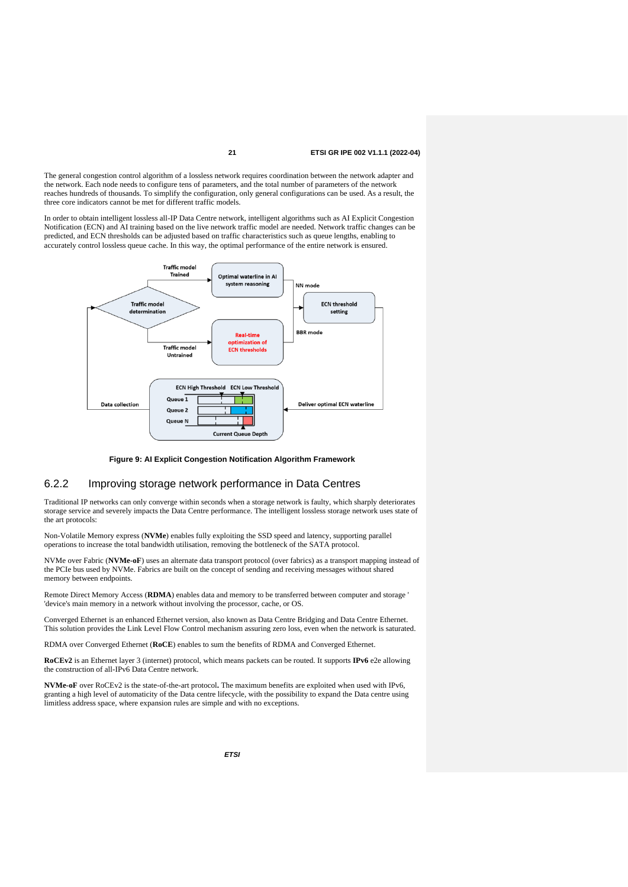The general congestion control algorithm of a lossless network requires coordination between the network adapter and the network. Each node needs to configure tens of parameters, and the total number of parameters of the network reaches hundreds of thousands. To simplify the configuration, only general configurations can be used. As a result, the three core indicators cannot be met for different traffic models.

In order to obtain intelligent lossless all-IP Data Centre network, intelligent algorithms such as AI Explicit Congestion Notification (ECN) and AI training based on the live network traffic model are needed. Network traffic changes can be predicted, and ECN thresholds can be adjusted based on traffic characteristics such as queue lengths, enabling to accurately control lossless queue cache. In this way, the optimal performance of the entire network is ensured.



### **Figure 9: AI Explicit Congestion Notification Algorithm Framework**

### 6.2.2 Improving storage network performance in Data Centres

Traditional IP networks can only converge within seconds when a storage network is faulty, which sharply deteriorates storage service and severely impacts the Data Centre performance. The intelligent lossless storage network uses state of the art protocols:

Non-Volatile Memory express (**NVMe**) enables fully exploiting the SSD speed and latency, supporting parallel operations to increase the total bandwidth utilisation, removing the bottleneck of the SATA protocol.

NVMe over Fabric (**NVMe-oF**) uses an alternate data transport protocol (over fabrics) as a transport mapping instead of the PCIe bus used by NVMe. Fabrics are built on the concept of sending and receiving messages without shared memory between endpoints.

Remote Direct Memory Access (**RDMA**) enables data and memory to be transferred between computer and storage ' 'device's main memory in a network without involving the processor, cache, or OS.

Converged Ethernet is an enhanced Ethernet version, also known as Data Centre Bridging and Data Centre Ethernet. This solution provides the Link Level Flow Control mechanism assuring zero loss, even when the network is saturated.

RDMA over Converged Ethernet (**RoCE**) enables to sum the benefits of RDMA and Converged Ethernet.

**RoCEv2** is an Ethernet layer 3 (internet) protocol, which means packets can be routed. It supports **IPv6** e2e allowing the construction of all-IPv6 Data Centre network.

**NVMe-oF** over RoCEv2 is the state-of-the-art protocol**.** The maximum benefits are exploited when used with IPv6, granting a high level of automaticity of the Data centre lifecycle, with the possibility to expand the Data centre using limitless address space, where expansion rules are simple and with no exceptions.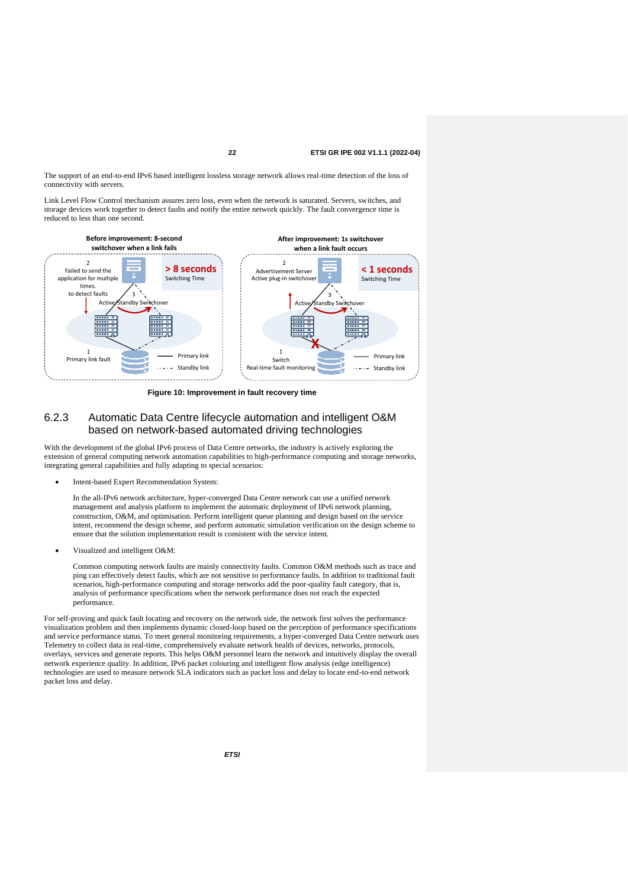The support of an end-to-end IPv6 based intelligent lossless storage network allows real-time detection of the loss of connectivity with servers.

Link Level Flow Control mechanism assures zero loss, even when the network is saturated. Servers, switches, and storage devices work together to detect faults and notify the entire network quickly. The fault convergence time is reduced to less than one second.



**Figure 10: Improvement in fault recovery time**

### 6.2.3 Automatic Data Centre lifecycle automation and intelligent O&M based on network-based automated driving technologies

With the development of the global IPv6 process of Data Centre networks, the industry is actively exploring the extension of general computing network automation capabilities to high-performance computing and storage networks, integrating general capabilities and fully adapting to special scenarios:

• Intent-based Expert Recommendation System:

In the all-IPv6 network architecture, hyper-converged Data Centre network can use a unified network management and analysis platform to implement the automatic deployment of IPv6 network planning, construction, O&M, and optimisation. Perform intelligent queue planning and design based on the service intent, recommend the design scheme, and perform automatic simulation verification on the design scheme to ensure that the solution implementation result is consistent with the service intent.

• Visualized and intelligent O&M:

Common computing network faults are mainly connectivity faults. Common O&M methods such as trace and ping can effectively detect faults, which are not sensitive to performance faults. In addition to traditional fault scenarios, high-performance computing and storage networks add the poor-quality fault category, that is, analysis of performance specifications when the network performance does not reach the expected performance.

For self-proving and quick fault locating and recovery on the network side, the network first solves the performance visualization problem and then implements dynamic closed-loop based on the perception of performance specifications and service performance status. To meet general monitoring requirements, a hyper-converged Data Centre network uses Telemetry to collect data in real-time, comprehensively evaluate network health of devices, networks, protocols, overlays, services and generate reports. This helps O&M personnel learn the network and intuitively display the overall network experience quality. In addition, IPv6 packet colouring and intelligent flow analysis (edge intelligence) technologies are used to measure network SLA indicators such as packet loss and delay to locate end-to-end network packet loss and delay.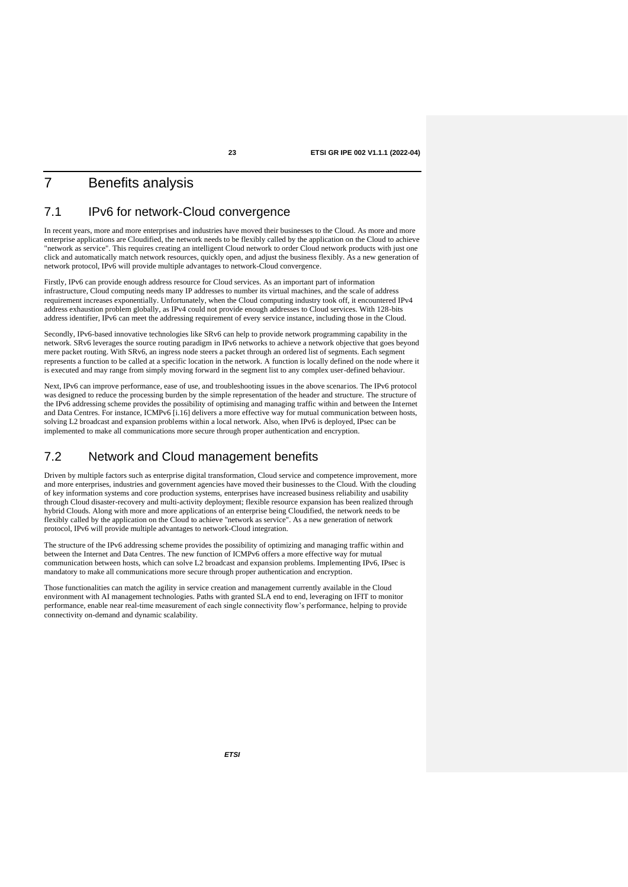### 7 Benefits analysis

### 7.1 IPv6 for network-Cloud convergence

In recent years, more and more enterprises and industries have moved their businesses to the Cloud. As more and more enterprise applications are Cloudified, the network needs to be flexibly called by the application on the Cloud to achieve "network as service". This requires creating an intelligent Cloud network to order Cloud network products with just one click and automatically match network resources, quickly open, and adjust the business flexibly. As a new generation of network protocol, IPv6 will provide multiple advantages to network-Cloud convergence.

Firstly, IPv6 can provide enough address resource for Cloud services. As an important part of information infrastructure, Cloud computing needs many IP addresses to number its virtual machines, and the scale of address requirement increases exponentially. Unfortunately, when the Cloud computing industry took off, it encountered IPv4 address exhaustion problem globally, as IPv4 could not provide enough addresses to Cloud services. With 128-bits address identifier, IPv6 can meet the addressing requirement of every service instance, including those in the Cloud.

Secondly, IPv6-based innovative technologies like SRv6 can help to provide network programming capability in the network. SRv6 leverages the source routing paradigm in IPv6 networks to achieve a network objective that goes beyond mere packet routing. With SRv6, an ingress node steers a packet through an ordered list of segments. Each segment represents a function to be called at a specific location in the network. A function is locally defined on the node where it is executed and may range from simply moving forward in the segment list to any complex user-defined behaviour.

Next, IPv6 can improve performance, ease of use, and troubleshooting issues in the above scenarios. The IPv6 protocol was designed to reduce the processing burden by the simple representation of the header and structure. The structure of the IPv6 addressing scheme provides the possibility of optimising and managing traffic within and between the Internet and Data Centres. For instance, ICMPv6 [\[i.16\]](#page-6-6) delivers a more effective way for mutual communication between hosts, solving L2 broadcast and expansion problems within a local network. Also, when IPv6 is deployed, IPsec can be implemented to make all communications more secure through proper authentication and encryption.

### 7.2 Network and Cloud management benefits

Driven by multiple factors such as enterprise digital transformation, Cloud service and competence improvement, more and more enterprises, industries and government agencies have moved their businesses to the Cloud. With the clouding of key information systems and core production systems, enterprises have increased business reliability and usability through Cloud disaster-recovery and multi-activity deployment; flexible resource expansion has been realized through hybrid Clouds. Along with more and more applications of an enterprise being Cloudified, the network needs to be flexibly called by the application on the Cloud to achieve "network as service". As a new generation of network protocol, IPv6 will provide multiple advantages to network-Cloud integration.

The structure of the IPv6 addressing scheme provides the possibility of optimizing and managing traffic within and between the Internet and Data Centres. The new function of ICMPv6 offers a more effective way for mutual communication between hosts, which can solve L2 broadcast and expansion problems. Implementing IPv6, IPsec is mandatory to make all communications more secure through proper authentication and encryption.

Those functionalities can match the agility in service creation and management currently available in the Cloud environment with AI management technologies. Paths with granted SLA end to end, leveraging on IFIT to monitor performance, enable near real-time measurement of each single connectivity flow's performance, helping to provide connectivity on-demand and dynamic scalability.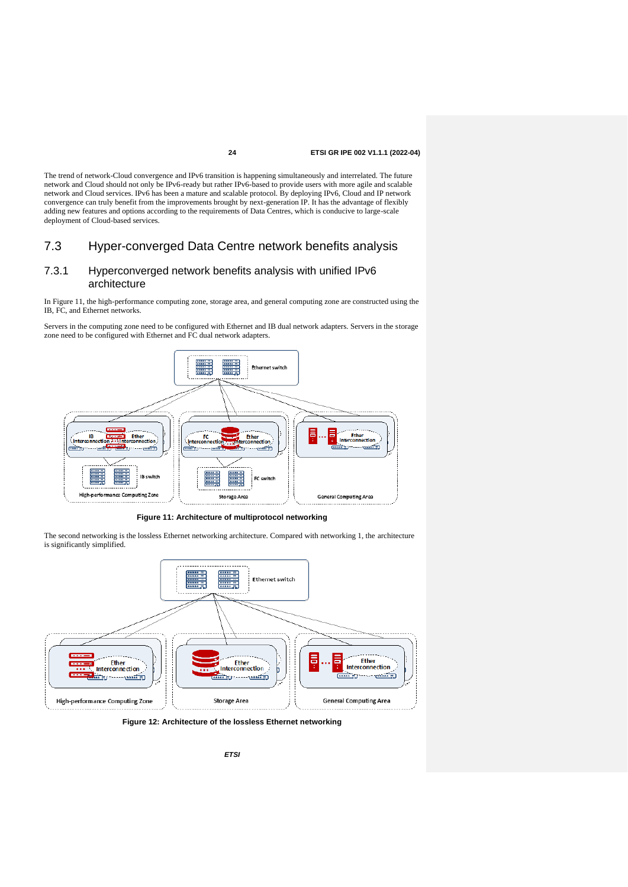The trend of network-Cloud convergence and IPv6 transition is happening simultaneously and interrelated. The future network and Cloud should not only be IPv6-ready but rather IPv6-based to provide users with more agile and scalable network and Cloud services. IPv6 has been a mature and scalable protocol. By deploying IPv6, Cloud and IP network convergence can truly benefit from the improvements brought by next-generation IP. It has the advantage of flexibly adding new features and options according to the requirements of Data Centres, which is conducive to large-scale deployment of Cloud-based services.

### 7.3 Hyper-converged Data Centre network benefits analysis

### 7.3.1 Hyperconverged network benefits analysis with unified IPv6 architecture

In Figure 11, the high-performance computing zone, storage area, and general computing zone are constructed using the IB, FC, and Ethernet networks.

Servers in the computing zone need to be configured with Ethernet and IB dual network adapters. Servers in the storage zone need to be configured with Ethernet and FC dual network adapters.



**Figure 11: Architecture of multiprotocol networking**

The second networking is the lossless Ethernet networking architecture. Compared with networking 1, the architecture is significantly simplified.



**Figure 12: Architecture of the lossless Ethernet networking**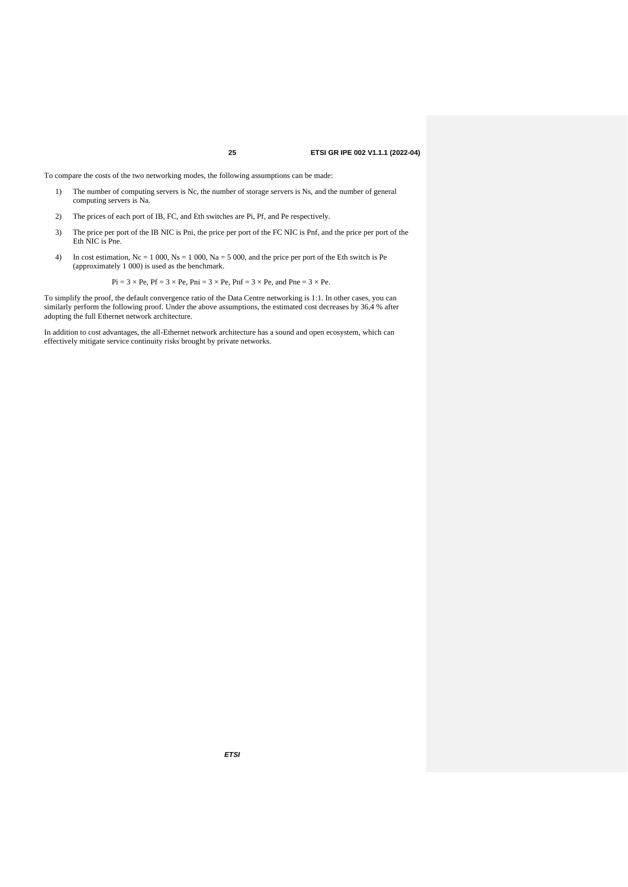To compare the costs of the two networking modes, the following assumptions can be made:

- 1) The number of computing servers is Nc, the number of storage servers is Ns, and the number of general computing servers is Na.
- 2) The prices of each port of IB, FC, and Eth switches are Pi, Pf, and Pe respectively.
- 3) The price per port of the IB NIC is Pni, the price per port of the FC NIC is Pnf, and the price per port of the Eth NIC is Pne.
- 4) In cost estimation,  $Nc = 1000$ ,  $Ns = 1000$ ,  $Na = 5000$ , and the price per port of the Eth switch is Pe (approximately 1 000) is used as the benchmark.

$$
Pi = 3 \times Pe
$$
,  $Pf = 3 \times Pe$ ,  $Pni = 3 \times Pe$ ,  $Pnf = 3 \times Pe$ , and  $Pne = 3 \times Pe$ .

To simplify the proof, the default convergence ratio of the Data Centre networking is 1:1. In other cases, you can similarly perform the following proof. Under the above assumptions, the estimated cost decreases by 36,4 % after adopting the full Ethernet network architecture.

In addition to cost advantages, the all-Ethernet network architecture has a sound and open ecosystem, which can effectively mitigate service continuity risks brought by private networks.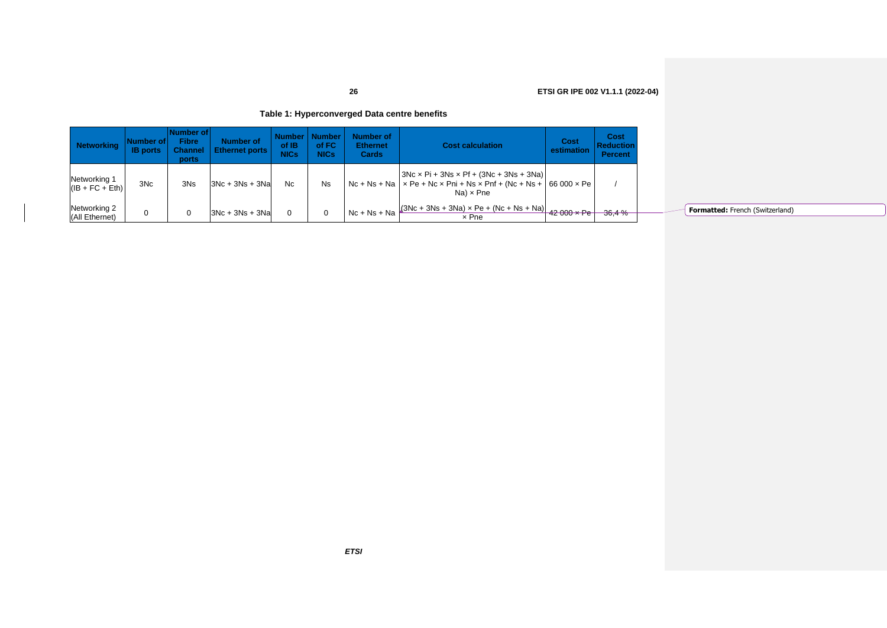### **Table 1: Hyperconverged Data centre benefits**

| <b>Networking</b>                 | Number of l<br><b>IB</b> ports | Number of<br>Fibre<br><b>Channel</b><br>ports | Number of<br><b>Ethernet ports</b> | Number  <br>of IB<br>NICs | <b>Number</b><br>of FC<br><b>NICs</b> | <b>Number of</b><br><b>Ethernet</b><br><b>Cards</b> | <b>Cost calculation</b>                                                                                                                              | Cost<br>estimation | Cost<br><b>Reduction</b><br><b>Percent</b> |
|-----------------------------------|--------------------------------|-----------------------------------------------|------------------------------------|---------------------------|---------------------------------------|-----------------------------------------------------|------------------------------------------------------------------------------------------------------------------------------------------------------|--------------------|--------------------------------------------|
| Networking 1<br>$(IB + FC + Eth)$ | 3N <sub>c</sub>                | 3N <sub>s</sub>                               | $3Nc + 3Ns + 3Na$                  | Nc                        | <b>Ns</b>                             |                                                     | $3Nc \times Pi + 3Ns \times Pf + (3Nc + 3Ns + 3Na)$<br>$Nc + Ns + Na$ $\times$ Pe + Nc x Pni + Ns x Pnf + (Nc + Ns + 66 000 x Pe<br>$Na) \times Pne$ |                    |                                            |
| Networking 2<br>(All Ethernet)    | 0                              | 0                                             | $3Nc + 3Ns + 3Na$                  | $\Omega$                  | 0                                     |                                                     | Nc + Ns + Na $(3NC + 3Ns + 3Na) \times Pe + (NC + Ns + Na)$ 42 000 x Pe<br>x Pne                                                                     |                    | 36,4%                                      |

**Formatted:** French (Switzerland)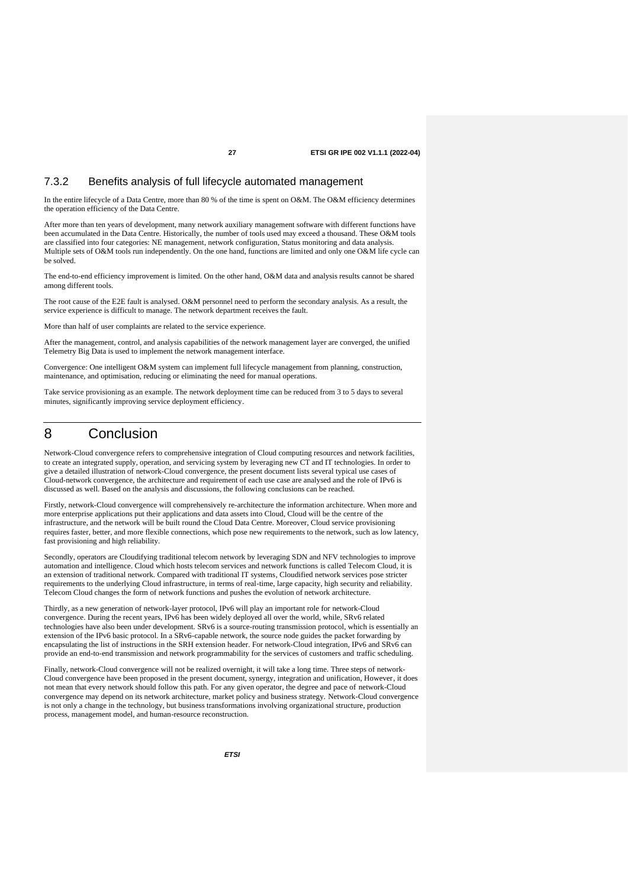### 7.3.2 Benefits analysis of full lifecycle automated management

In the entire lifecycle of a Data Centre, more than 80 % of the time is spent on O&M. The O&M efficiency determines the operation efficiency of the Data Centre.

After more than ten years of development, many network auxiliary management software with different functions have been accumulated in the Data Centre. Historically, the number of tools used may exceed a thousand. These O&M tools are classified into four categories: NE management, network configuration, Status monitoring and data analysis. Multiple sets of O&M tools run independently. On the one hand, functions are limited and only one O&M life cycle can be solved.

The end-to-end efficiency improvement is limited. On the other hand, O&M data and analysis results cannot be shared among different tools.

The root cause of the E2E fault is analysed. O&M personnel need to perform the secondary analysis. As a result, the service experience is difficult to manage. The network department receives the fault.

More than half of user complaints are related to the service experience.

After the management, control, and analysis capabilities of the network management layer are converged, the unified Telemetry Big Data is used to implement the network management interface.

Convergence: One intelligent O&M system can implement full lifecycle management from planning, construction, maintenance, and optimisation, reducing or eliminating the need for manual operations.

Take service provisioning as an example. The network deployment time can be reduced from 3 to 5 days to several minutes, significantly improving service deployment efficiency.

### 8 Conclusion

Network-Cloud convergence refers to comprehensive integration of Cloud computing resources and network facilities, to create an integrated supply, operation, and servicing system by leveraging new CT and IT technologies. In order to give a detailed illustration of network-Cloud convergence, the present document lists several typical use cases of Cloud-network convergence, the architecture and requirement of each use case are analysed and the role of IPv6 is discussed as well. Based on the analysis and discussions, the following conclusions can be reached.

Firstly, network-Cloud convergence will comprehensively re-architecture the information architecture. When more and more enterprise applications put their applications and data assets into Cloud, Cloud will be the centre of the infrastructure, and the network will be built round the Cloud Data Centre. Moreover, Cloud service provisioning requires faster, better, and more flexible connections, which pose new requirements to the network, such as low latency, fast provisioning and high reliability.

Secondly, operators are Cloudifying traditional telecom network by leveraging SDN and NFV technologies to improve automation and intelligence. Cloud which hosts telecom services and network functions is called Telecom Cloud, it is an extension of traditional network. Compared with traditional IT systems, Cloudified network services pose stricter requirements to the underlying Cloud infrastructure, in terms of real-time, large capacity, high security and reliability. Telecom Cloud changes the form of network functions and pushes the evolution of network architecture.

Thirdly, as a new generation of network-layer protocol, IPv6 will play an important role for network-Cloud convergence. During the recent years, IPv6 has been widely deployed all over the world, while, SRv6 related technologies have also been under development. SRv6 is a source-routing transmission protocol, which is essentially an extension of the IPv6 basic protocol. In a SRv6-capable network, the source node guides the packet forwarding by encapsulating the list of instructions in the SRH extension header. For network-Cloud integration, IPv6 and SRv6 can provide an end-to-end transmission and network programmability for the services of customers and traffic scheduling.

Finally, network-Cloud convergence will not be realized overnight, it will take a long time. Three steps of network-Cloud convergence have been proposed in the present document, synergy, integration and unification, However, it does not mean that every network should follow this path. For any given operator, the degree and pace of network-Cloud convergence may depend on its network architecture, market policy and business strategy. Network-Cloud convergence is not only a change in the technology, but business transformations involving organizational structure, production process, management model, and human-resource reconstruction.